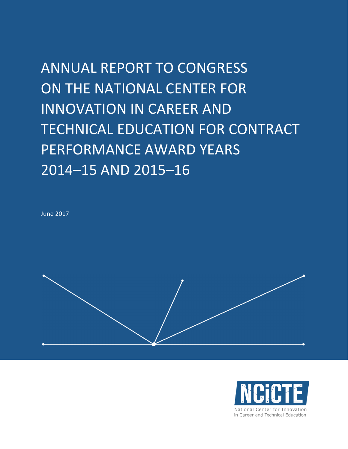ANNUAL REPORT TO CONGRESS ON THE NATIONAL CENTER FOR INNOVATION IN CAREER AND TECHNICAL EDUCATION FOR CONTRACT PERFORMANCE AWARD YEARS 2014–15 AND 2015–16

June 2017



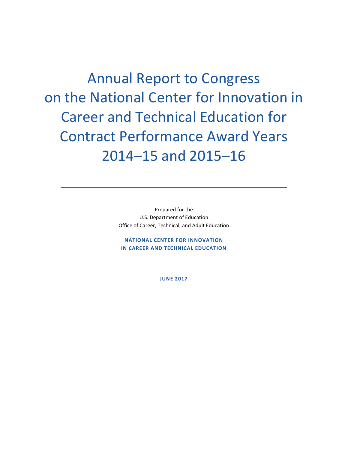Annual Report to Congress on the National Center for Innovation in Career and Technical Education for Contract Performance Award Years 2014–15 and 2015–16

> Prepared for the U.S. Department of Education Office of Career, Technical, and Adult Education

NATIONAL CENTER FOR INNOVATION IN CAREER AND TECHNICAL EDUCATION

JUNE 2017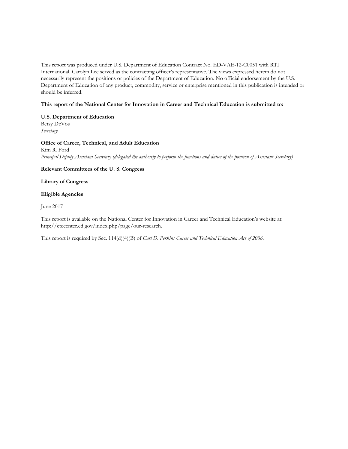This report was produced under U.S. Department of Education Contract No. ED-VAE-12-C0051 with RTI International. Carolyn Lee served as the contracting officer's representative. The views expressed herein do not necessarily represent the positions or policies of the Department of Education. No official endorsement by the U.S. Department of Education of any product, commodity, service or enterprise mentioned in this publication is intended or should be inferred.

#### This report of the National Center for Innovation in Career and Technical Education is submitted to:

#### U.S. Department of Education Betsy DeVos

Secretary

#### Office of Career, Technical, and Adult Education

Kim R. Ford Principal Deputy Assistant Secretary (delegated the authority to perform the functions and duties of the position of Assistant Secretary)

#### Relevant Committees of the U. S. Congress

#### Library of Congress

#### Eligible Agencies

June 2017

This report is available on the National Center for Innovation in Career and Technical Education's website at: http://ctecenter.ed.gov/index.php/page/our-research.

This report is required by Sec. 114(d)(4)(B) of *Carl D. Perkins Career and Technical Education Act of 2006*.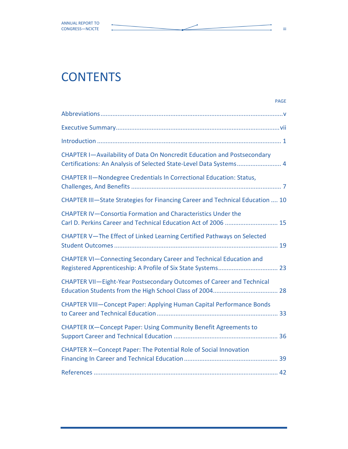## **CONTENTS**

| <b>PAGE</b>                                                                                                                                   |
|-----------------------------------------------------------------------------------------------------------------------------------------------|
|                                                                                                                                               |
|                                                                                                                                               |
|                                                                                                                                               |
| CHAPTER I-Availability of Data On Noncredit Education and Postsecondary<br>Certifications: An Analysis of Selected State-Level Data Systems 4 |
| CHAPTER II-Nondegree Credentials In Correctional Education: Status,                                                                           |
| CHAPTER III-State Strategies for Financing Career and Technical Education  10                                                                 |
| CHAPTER IV-Consortia Formation and Characteristics Under the<br>Carl D. Perkins Career and Technical Education Act of 2006  15                |
| CHAPTER V-The Effect of Linked Learning Certified Pathways on Selected                                                                        |
| CHAPTER VI-Connecting Secondary Career and Technical Education and                                                                            |
| CHAPTER VII-Eight-Year Postsecondary Outcomes of Career and Technical                                                                         |
| CHAPTER VIII-Concept Paper: Applying Human Capital Performance Bonds                                                                          |
| CHAPTER IX-Concept Paper: Using Community Benefit Agreements to                                                                               |
| CHAPTER X-Concept Paper: The Potential Role of Social Innovation                                                                              |
|                                                                                                                                               |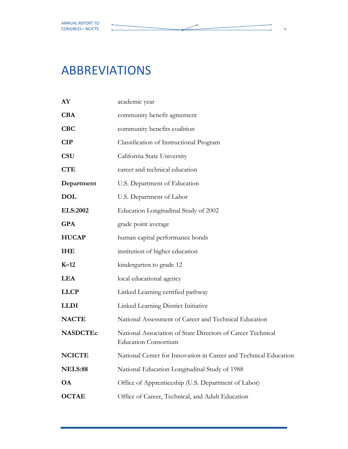## ABBREVIATIONS

| AY              | academic year                                                                              |
|-----------------|--------------------------------------------------------------------------------------------|
| <b>CBA</b>      | community benefit agreement                                                                |
| <b>CBC</b>      | community benefits coalition                                                               |
| <b>CIP</b>      | Classification of Instructional Program                                                    |
| <b>CSU</b>      | California State University                                                                |
| <b>CTE</b>      | career and technical education                                                             |
| Department      | U.S. Department of Education                                                               |
| <b>DOL</b>      | U.S. Department of Labor                                                                   |
| <b>ELS:2002</b> | Education Longitudinal Study of 2002                                                       |
| <b>GPA</b>      | grade point average                                                                        |
| <b>HUCAP</b>    | human capital performance bonds                                                            |
| <b>IHE</b>      | institution of higher education                                                            |
| $K-12$          | kindergarten to grade 12                                                                   |
| <b>LEA</b>      | local educational agency                                                                   |
| <b>LLCP</b>     | Linked Learning certified pathway                                                          |
| <b>LLDI</b>     | Linked Learning District Initiative                                                        |
| <b>NACTE</b>    | National Assessment of Career and Technical Education                                      |
| <b>NASDCTEc</b> | National Association of State Directors of Career Technical<br><b>Education Consortium</b> |
| <b>NCICTE</b>   | National Center for Innovation in Career and Technical Education                           |
| <b>NELS:88</b>  | National Education Longitudinal Study of 1988                                              |
| <b>OA</b>       | Office of Apprenticeship (U.S. Department of Labor)                                        |
| <b>OCTAE</b>    | Office of Career, Technical, and Adult Education                                           |
|                 |                                                                                            |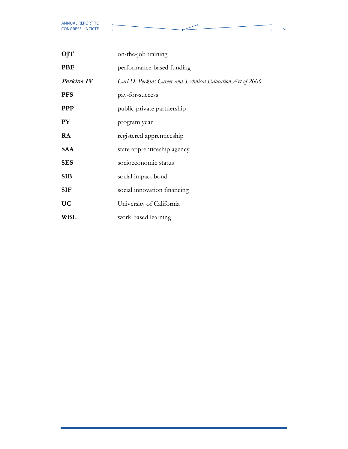ò.

| OJT              | on-the-job training                                        |
|------------------|------------------------------------------------------------|
| <b>PBF</b>       | performance-based funding                                  |
| Perkins IV       | Carl D. Perkins Career and Technical Education Act of 2006 |
| <b>PFS</b>       | pay-for-success                                            |
| <b>PPP</b>       | public-private partnership                                 |
| ${\bf P}{\bf Y}$ | program year                                               |
| RA               | registered apprenticeship                                  |
| <b>SAA</b>       | state apprenticeship agency                                |
| <b>SES</b>       | socioeconomic status                                       |
| <b>SIB</b>       | social impact bond                                         |
| <b>SIF</b>       | social innovation financing                                |
| <b>UC</b>        | University of California                                   |
| WBL              | work-based learning                                        |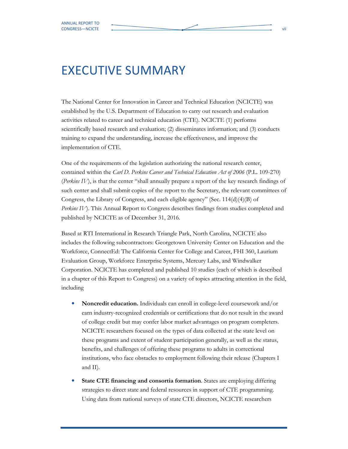## EXECUTIVE SUMMARY

The National Center for Innovation in Career and Technical Education (NCICTE) was established by the U.S. Department of Education to carry out research and evaluation activities related to career and technical education (CTE). NCICTE (1) performs scientifically based research and evaluation; (2) disseminates information; and (3) conducts training to expand the understanding, increase the effectiveness, and improve the implementation of CTE.

One of the requirements of the legislation authorizing the national research center, contained within the *Carl D. Perkins Career and Technical Education Act of 2006* (P.L. 109-270) (Perkins IV), is that the center "shall annually prepare a report of the key research findings of such center and shall submit copies of the report to the Secretary, the relevant committees of Congress, the Library of Congress, and each eligible agency" (Sec. 114(d)(4)(B) of Perkins IV). This Annual Report to Congress describes findings from studies completed and published by NCICTE as of December 31, 2016.

Based at RTI International in Research Triangle Park, North Carolina, NCICTE also includes the following subcontractors: Georgetown University Center on Education and the Workforce, ConnectEd: The California Center for College and Career, FHI 360, Laurium Evaluation Group, Workforce Enterprise Systems, Mercury Labs, and Windwalker Corporation. NCICTE has completed and published 10 studies (each of which is described in a chapter of this Report to Congress) on a variety of topics attracting attention in the field, including

- Noncredit education. Individuals can enroll in college-level coursework and/or earn industry-recognized credentials or certifications that do not result in the award of college credit but may confer labor market advantages on program completers. NCICTE researchers focused on the types of data collected at the state level on these programs and extent of student participation generally, as well as the status, benefits, and challenges of offering these programs to adults in correctional institutions, who face obstacles to employment following their release (Chapters I and II).
- State CTE financing and consortia formation. States are employing differing strategies to direct state and federal resources in support of CTE programming. Using data from national surveys of state CTE directors, NCICTE researchers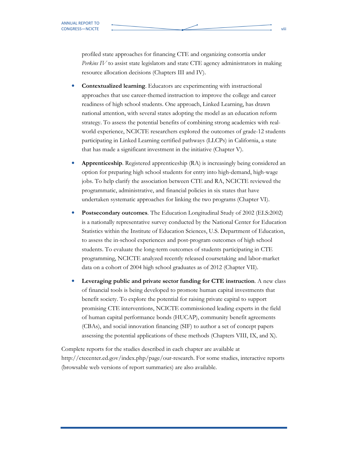profiled state approaches for financing CTE and organizing consortia under Perkins IV to assist state legislators and state CTE agency administrators in making resource allocation decisions (Chapters III and IV).

- Contextualized learning. Educators are experimenting with instructional approaches that use career-themed instruction to improve the college and career readiness of high school students. One approach, Linked Learning, has drawn national attention, with several states adopting the model as an education reform strategy. To assess the potential benefits of combining strong academics with realworld experience, NCICTE researchers explored the outcomes of grade-12 students participating in Linked Learning certified pathways (LLCPs) in California, a state that has made a significant investment in the initiative (Chapter V).
- Apprenticeship. Registered apprenticeship (RA) is increasingly being considered an option for preparing high school students for entry into high-demand, high-wage jobs. To help clarify the association between CTE and RA, NCICTE reviewed the programmatic, administrative, and financial policies in six states that have undertaken systematic approaches for linking the two programs (Chapter VI).
- Postsecondary outcomes. The Education Longitudinal Study of 2002 (ELS:2002) is a nationally representative survey conducted by the National Center for Education Statistics within the Institute of Education Sciences, U.S. Department of Education, to assess the in-school experiences and post-program outcomes of high school students. To evaluate the long-term outcomes of students participating in CTE programming, NCICTE analyzed recently released coursetaking and labor-market data on a cohort of 2004 high school graduates as of 2012 (Chapter VII).
- Leveraging public and private sector funding for CTE instruction. A new class of financial tools is being developed to promote human capital investments that benefit society. To explore the potential for raising private capital to support promising CTE interventions, NCICTE commissioned leading experts in the field of human capital performance bonds (HUCAP), community benefit agreements (CBAs), and social innovation financing (SIF) to author a set of concept papers assessing the potential applications of these methods (Chapters VIII, IX, and X).

Complete reports for the studies described in each chapter are available at http://ctecenter.ed.gov/index.php/page/our-research. For some studies, interactive reports (browsable web versions of report summaries) are also available.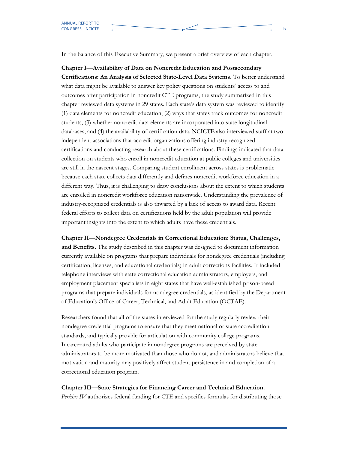In the balance of this Executive Summary, we present a brief overview of each chapter.

Chapter I—Availability of Data on Noncredit Education and Postsecondary Certifications: An Analysis of Selected State-Level Data Systems. To better understand what data might be available to answer key policy questions on students' access to and outcomes after participation in noncredit CTE programs, the study summarized in this chapter reviewed data systems in 29 states. Each state's data system was reviewed to identify (1) data elements for noncredit education, (2) ways that states track outcomes for noncredit students, (3) whether noncredit data elements are incorporated into state longitudinal databases, and (4) the availability of certification data. NCICTE also interviewed staff at two independent associations that accredit organizations offering industry-recognized certifications and conducting research about these certifications. Findings indicated that data collection on students who enroll in noncredit education at public colleges and universities are still in the nascent stages. Comparing student enrollment across states is problematic because each state collects data differently and defines noncredit workforce education in a different way. Thus, it is challenging to draw conclusions about the extent to which students are enrolled in noncredit workforce education nationwide. Understanding the prevalence of industry-recognized credentials is also thwarted by a lack of access to award data. Recent federal efforts to collect data on certifications held by the adult population will provide important insights into the extent to which adults have these credentials.

Chapter II—Nondegree Credentials in Correctional Education: Status, Challenges,

and Benefits. The study described in this chapter was designed to document information currently available on programs that prepare individuals for nondegree credentials (including certification, licenses, and educational credentials) in adult corrections facilities. It included telephone interviews with state correctional education administrators, employers, and employment placement specialists in eight states that have well-established prison-based programs that prepare individuals for nondegree credentials, as identified by the Department of Education's Office of Career, Technical, and Adult Education (OCTAE).

Researchers found that all of the states interviewed for the study regularly review their nondegree credential programs to ensure that they meet national or state accreditation standards, and typically provide for articulation with community college programs. Incarcerated adults who participate in nondegree programs are perceived by state administrators to be more motivated than those who do not, and administrators believe that motivation and maturity may positively affect student persistence in and completion of a correctional education program.

### Chapter III—State Strategies for Financing Career and Technical Education.

Perkins IV authorizes federal funding for CTE and specifies formulas for distributing those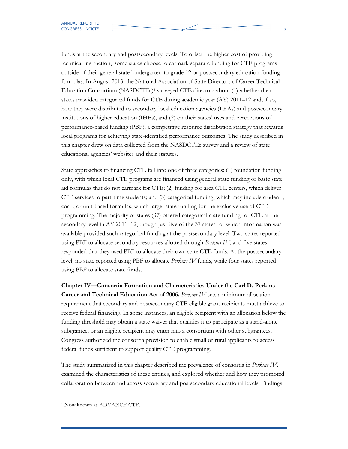funds at the secondary and postsecondary levels. To offset the higher cost of providing technical instruction, some states choose to earmark separate funding for CTE programs outside of their general state kindergarten-to-grade 12 or postsecondary education funding formulas. In August 2013, the National Association of State Directors of Career Technical Education Consortium (NASDCTEc)<sup>1</sup> surveyed CTE directors about (1) whether their states provided categorical funds for CTE during academic year (AY) 2011–12 and, if so, how they were distributed to secondary local education agencies (LEAs) and postsecondary institutions of higher education (IHEs), and (2) on their states' uses and perceptions of performance-based funding (PBF), a competitive resource distribution strategy that rewards local programs for achieving state-identified performance outcomes. The study described in this chapter drew on data collected from the NASDCTEc survey and a review of state educational agencies' websites and their statutes.

State approaches to financing CTE fall into one of three categories: (1) foundation funding only, with which local CTE programs are financed using general state funding or basic state aid formulas that do not earmark for CTE; (2) funding for area CTE centers, which deliver CTE services to part-time students; and (3) categorical funding, which may include student-, cost-, or unit-based formulas, which target state funding for the exclusive use of CTE programming. The majority of states (37) offered categorical state funding for CTE at the secondary level in AY 2011–12, though just five of the 37 states for which information was available provided such categorical funding at the postsecondary level. Two states reported using PBF to allocate secondary resources allotted through Perkins  $IV$ , and five states responded that they used PBF to allocate their own state CTE funds. At the postsecondary level, no state reported using PBF to allocate Perkins IV funds, while four states reported using PBF to allocate state funds.

Chapter IV—Consortia Formation and Characteristics Under the Carl D. Perkins Career and Technical Education Act of 2006. Perkins IV sets a minimum allocation requirement that secondary and postsecondary CTE eligible grant recipients must achieve to receive federal financing. In some instances, an eligible recipient with an allocation below the funding threshold may obtain a state waiver that qualifies it to participate as a stand-alone subgrantee, or an eligible recipient may enter into a consortium with other subgrantees. Congress authorized the consortia provision to enable small or rural applicants to access federal funds sufficient to support quality CTE programming.

The study summarized in this chapter described the prevalence of consortia in *Perkins IV*, examined the characteristics of these entities, and explored whether and how they promoted collaboration between and across secondary and postsecondary educational levels. Findings

<sup>1</sup> Now known as ADVANCE CTE.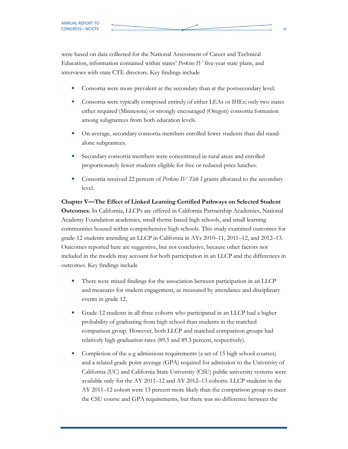were based on data collected for the National Assessment of Career and Technical Education, information contained within states' Perkins IV five-year state plans, and interviews with state CTE directors. Key findings include

- Consortia were more prevalent at the secondary than at the postsecondary level.
- Consortia were typically composed entirely of either LEAs or IHEs; only two states either required (Minnesota) or strongly encouraged (Oregon) consortia formation among subgrantees from both education levels.
- On average, secondary consortia members enrolled fewer students than did standalone subgrantees.
- Secondary consortia members were concentrated in rural areas and enrolled proportionately fewer students eligible for free or reduced-price lunches.
- Consortia received 22 percent of *Perkins IV Title I* grants allocated to the secondary level.

Chapter V—The Effect of Linked Learning Certified Pathways on Selected Student Outcomes. In California, LLCPs are offered in California Partnership Academies, National Academy Foundation academies, small theme-based high schools, and small learning communities housed within comprehensive high schools. This study examined outcomes for grade-12 students attending an LLCP in California in AYs 2010–11, 2011–12, and 2012–13. Outcomes reported here are suggestive, but not conclusive, because other factors not included in the models may account for both participation in an LLCP and the differences in outcomes. Key findings include

- There were mixed findings for the association between participation in an LLCP and measures for student engagement, as measured by attendance and disciplinary events in grade 12.
- Grade-12 students in all three cohorts who participated in an LLCP had a higher probability of graduating from high school than students in the matched comparison group. However, both LLCP and matched comparison groups had relatively high graduation rates (89.5 and 89.3 percent, respectively).
- Completion of the a-g admissions requirements (a set of 15 high school courses) and a related grade point average (GPA) required for admission to the University of California (UC) and California State University (CSU) public university systems were available only for the AY 2011–12 and AY 2012–13 cohorts. LLCP students in the AY 2011–12 cohort were 13 percent more likely than the comparison group to meet the CSU course and GPA requirements, but there was no difference between the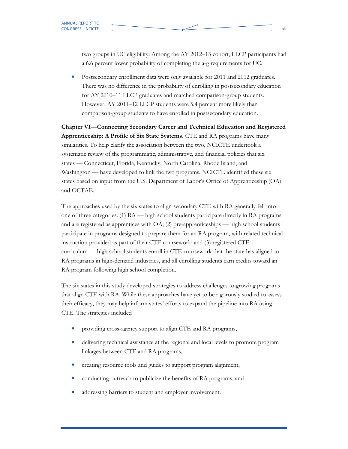two groups in UC eligibility. Among the AY 2012–13 cohort, LLCP participants had a 6.6 percent lower probability of completing the a-g requirements for UC.

• Postsecondary enrollment data were only available for 2011 and 2012 graduates. There was no difference in the probability of enrolling in postsecondary education for AY 2010–11 LLCP graduates and matched comparison-group students. However, AY 2011–12 LLCP students were 5.4 percent more likely than comparison-group students to have enrolled in postsecondary education.

Chapter VI—Connecting Secondary Career and Technical Education and Registered Apprenticeship: A Profile of Six State Systems. CTE and RA programs have many similarities. To help clarify the association between the two, NCICTE undertook a systematic review of the programmatic, administrative, and financial policies that six states — Connecticut, Florida, Kentucky, North Carolina, Rhode Island, and Washington — have developed to link the two programs. NCICTE identified these six states based on input from the U.S. Department of Labor's Office of Apprenticeship (OA) and OCTAE.

The approaches used by the six states to align secondary CTE with RA generally fell into one of three categories: (1) RA — high school students participate directly in RA programs and are registered as apprentices with OA; (2) pre-apprenticeships — high school students participate in programs designed to prepare them for an RA program, with related technical instruction provided as part of their CTE coursework; and (3) registered CTE curriculum — high school students enroll in CTE coursework that the state has aligned to RA programs in high-demand industries, and all enrolling students earn credits toward an RA program following high school completion.

The six states in this study developed strategies to address challenges to growing programs that align CTE with RA. While these approaches have yet to be rigorously studied to assess their efficacy, they may help inform states' efforts to expand the pipeline into RA using CTE. The strategies included

- providing cross-agency support to align CTE and RA programs,
- delivering technical assistance at the regional and local levels to promote program linkages between CTE and RA programs,
- creating resource tools and guides to support program alignment,
- conducting outreach to publicize the benefits of RA programs, and
- addressing barriers to student and employer involvement.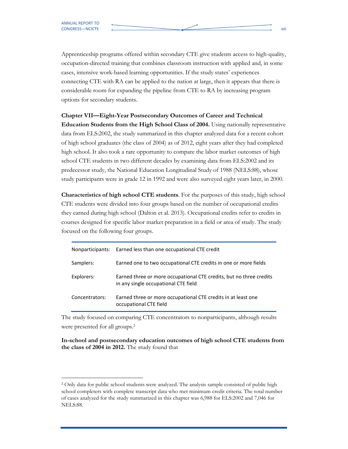Apprenticeship programs offered within secondary CTE give students access to high-quality, occupation-directed training that combines classroom instruction with applied and, in some cases, intensive work-based learning opportunities. If the study states' experiences connecting CTE with RA can be applied to the nation at large, then it appears that there is considerable room for expanding the pipeline from CTE to RA by increasing program options for secondary students.

#### Chapter VII—Eight-Year Postsecondary Outcomes of Career and Technical

Education Students from the High School Class of 2004. Using nationally representative data from ELS:2002, the study summarized in this chapter analyzed data for a recent cohort of high school graduates (the class of 2004) as of 2012, eight years after they had completed high school. It also took a rare opportunity to compare the labor market outcomes of high school CTE students in two different decades by examining data from ELS:2002 and its predecessor study, the National Education Longitudinal Study of 1988 (NELS:88), whose study participants were in grade 12 in 1992 and were also surveyed eight years later, in 2000.

Characteristics of high school CTE students. For the purposes of this study, high school CTE students were divided into four groups based on the number of occupational credits they earned during high school (Dalton et al. 2013). Occupational credits refer to credits in courses designed for specific labor market preparation in a field or area of study. The study focused on the following four groups.

|                | Nonparticipants: Earned less than one occupational CTE credit                                               |
|----------------|-------------------------------------------------------------------------------------------------------------|
| Samplers:      | Earned one to two occupational CTE credits in one or more fields                                            |
| Explorers:     | Earned three or more occupational CTE credits, but no three credits<br>in any single occupational CTE field |
| Concentrators: | Earned three or more occupational CTE credits in at least one<br>occupational CTE field                     |

The study focused on comparing CTE concentrators to nonparticipants, although results were presented for all groups.<sup>2</sup>

In-school and postsecondary education outcomes of high school CTE students from the class of 2004 in 2012. The study found that

<sup>&</sup>lt;sup>2</sup> Only data for public school students were analyzed. The analysis sample consisted of public high school completers with complete transcript data who met minimum credit criteria. The total number of cases analyzed for the study summarized in this chapter was 6,988 for ELS:2002 and 7,046 for NELS:88.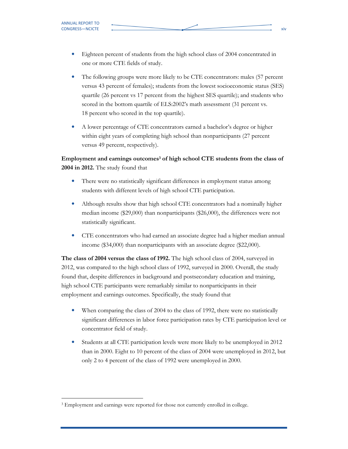- Eighteen percent of students from the high school class of 2004 concentrated in one or more CTE fields of study.
- The following groups were more likely to be CTE concentrators: males (57 percent versus 43 percent of females); students from the lowest socioeconomic status (SES) quartile (26 percent vs 17 percent from the highest SES quartile); and students who scored in the bottom quartile of ELS:2002's math assessment (31 percent vs. 18 percent who scored in the top quartile).
- A lower percentage of CTE concentrators earned a bachelor's degree or higher within eight years of completing high school than nonparticipants (27 percent versus 49 percent, respectively).

Employment and earnings outcomes<sup>3</sup> of high school CTE students from the class of 2004 in 2012. The study found that

- There were no statistically significant differences in employment status among students with different levels of high school CTE participation.
- Although results show that high school CTE concentrators had a nominally higher median income (\$29,000) than nonparticipants (\$26,000), the differences were not statistically significant.
- CTE concentrators who had earned an associate degree had a higher median annual income (\$34,000) than nonparticipants with an associate degree (\$22,000).

The class of 2004 versus the class of 1992. The high school class of 2004, surveyed in 2012, was compared to the high school class of 1992, surveyed in 2000. Overall, the study found that, despite differences in background and postsecondary education and training, high school CTE participants were remarkably similar to nonparticipants in their employment and earnings outcomes. Specifically, the study found that

- When comparing the class of 2004 to the class of 1992, there were no statistically significant differences in labor force participation rates by CTE participation level or concentrator field of study.
- Students at all CTE participation levels were more likely to be unemployed in 2012 than in 2000. Eight to 10 percent of the class of 2004 were unemployed in 2012, but only 2 to 4 percent of the class of 1992 were unemployed in 2000.

<sup>&</sup>lt;sup>3</sup> Employment and earnings were reported for those not currently enrolled in college.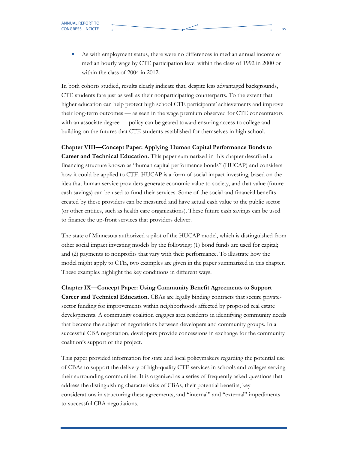In both cohorts studied, results clearly indicate that, despite less advantaged backgrounds, CTE students fare just as well as their nonparticipating counterparts. To the extent that higher education can help protect high school CTE participants' achievements and improve their long-term outcomes — as seen in the wage premium observed for CTE concentrators with an associate degree — policy can be geared toward ensuring access to college and building on the futures that CTE students established for themselves in high school.

Chapter VIII—Concept Paper: Applying Human Capital Performance Bonds to

Career and Technical Education. This paper summarized in this chapter described a financing structure known as "human capital performance bonds" (HUCAP) and considers how it could be applied to CTE. HUCAP is a form of social impact investing, based on the idea that human service providers generate economic value to society, and that value (future cash savings) can be used to fund their services. Some of the social and financial benefits created by these providers can be measured and have actual cash value to the public sector (or other entities, such as health care organizations). These future cash savings can be used to finance the up-front services that providers deliver.

The state of Minnesota authorized a pilot of the HUCAP model, which is distinguished from other social impact investing models by the following: (1) bond funds are used for capital; and (2) payments to nonprofits that vary with their performance. To illustrate how the model might apply to CTE, two examples are given in the paper summarized in this chapter. These examples highlight the key conditions in different ways.

Chapter IX—Concept Paper: Using Community Benefit Agreements to Support Career and Technical Education. CBAs are legally binding contracts that secure privatesector funding for improvements within neighborhoods affected by proposed real estate developments. A community coalition engages area residents in identifying community needs that become the subject of negotiations between developers and community groups. In a successful CBA negotiation, developers provide concessions in exchange for the community coalition's support of the project.

This paper provided information for state and local policymakers regarding the potential use of CBAs to support the delivery of high-quality CTE services in schools and colleges serving their surrounding communities. It is organized as a series of frequently asked questions that address the distinguishing characteristics of CBAs, their potential benefits, key considerations in structuring these agreements, and "internal" and "external" impediments to successful CBA negotiations.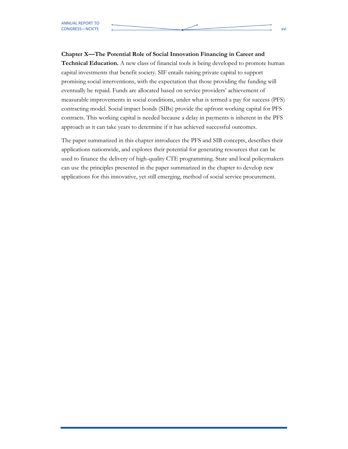#### Chapter X—The Potential Role of Social Innovation Financing in Career and

**Technical Education.** A new class of financial tools is being developed to promote human capital investments that benefit society. SIF entails raising private capital to support promising social interventions, with the expectation that those providing the funding will eventually be repaid. Funds are allocated based on service providers' achievement of measurable improvements in social conditions, under what is termed a pay for success (PFS) contracting model. Social impact bonds (SIBs) provide the upfront working capital for PFS contracts. This working capital is needed because a delay in payments is inherent in the PFS approach as it can take years to determine if it has achieved successful outcomes.

The paper summarized in this chapter introduces the PFS and SIB concepts, describes their applications nationwide, and explores their potential for generating resources that can be used to finance the delivery of high-quality CTE programming. State and local policymakers can use the principles presented in the paper summarized in the chapter to develop new applications for this innovative, yet still emerging, method of social service procurement.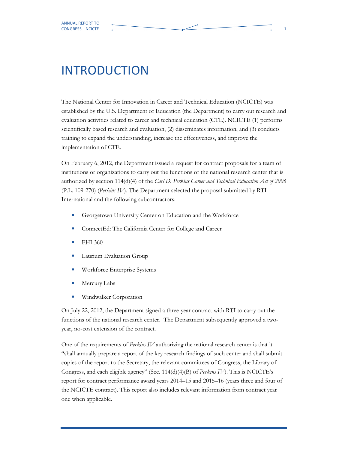## INTRODUCTION

The National Center for Innovation in Career and Technical Education (NCICTE) was established by the U.S. Department of Education (the Department) to carry out research and evaluation activities related to career and technical education (CTE). NCICTE (1) performs scientifically based research and evaluation, (2) disseminates information, and (3) conducts training to expand the understanding, increase the effectiveness, and improve the implementation of CTE.

On February 6, 2012, the Department issued a request for contract proposals for a team of institutions or organizations to carry out the functions of the national research center that is authorized by section 114(d)(4) of the Carl D. Perkins Career and Technical Education Act of 2006 (P.L. 109-270) (Perkins IV). The Department selected the proposal submitted by RTI International and the following subcontractors:

- Georgetown University Center on Education and the Workforce
- ConnectEd: The California Center for College and Career
- FHI 360
- Laurium Evaluation Group
- Workforce Enterprise Systems
- Mercury Labs
- Windwalker Corporation

On July 22, 2012, the Department signed a three-year contract with RTI to carry out the functions of the national research center. The Department subsequently approved a twoyear, no-cost extension of the contract.

One of the requirements of Perkins IV authorizing the national research center is that it "shall annually prepare a report of the key research findings of such center and shall submit copies of the report to the Secretary, the relevant committees of Congress, the Library of Congress, and each eligible agency" (Sec.  $114(d)(4)(B)$  of *Perkins IV*). This is NCICTE's report for contract performance award years 2014–15 and 2015–16 (years three and four of the NCICTE contract). This report also includes relevant information from contract year one when applicable.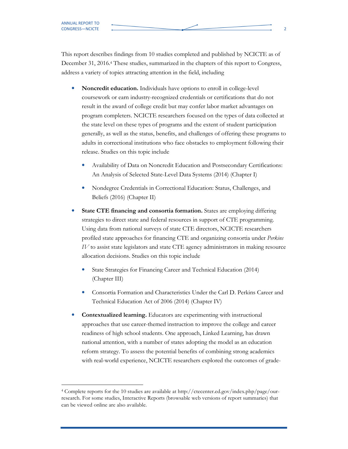This report describes findings from 10 studies completed and published by NCICTE as of December 31, 2016.<sup>4</sup> These studies, summarized in the chapters of this report to Congress, address a variety of topics attracting attention in the field, including

- Noncredit education. Individuals have options to enroll in college-level coursework or earn industry-recognized credentials or certifications that do not result in the award of college credit but may confer labor market advantages on program completers. NCICTE researchers focused on the types of data collected at the state level on these types of programs and the extent of student participation generally, as well as the status, benefits, and challenges of offering these programs to adults in correctional institutions who face obstacles to employment following their release. Studies on this topic include
	- Availability of Data on Noncredit Education and Postsecondary Certifications: An Analysis of Selected State-Level Data Systems (2014) (Chapter I)
	- Nondegree Credentials in Correctional Education: Status, Challenges, and Beliefs (2016) (Chapter II)
- State CTE financing and consortia formation. States are employing differing strategies to direct state and federal resources in support of CTE programming. Using data from national surveys of state CTE directors, NCICTE researchers profiled state approaches for financing CTE and organizing consortia under Perkins IV to assist state legislators and state CTE agency administrators in making resource allocation decisions. Studies on this topic include
	- State Strategies for Financing Career and Technical Education (2014) (Chapter III)
	- Consortia Formation and Characteristics Under the Carl D. Perkins Career and Technical Education Act of 2006 (2014) (Chapter IV)
- Contextualized learning. Educators are experimenting with instructional approaches that use career-themed instruction to improve the college and career readiness of high school students. One approach, Linked Learning, has drawn national attention, with a number of states adopting the model as an education reform strategy. To assess the potential benefits of combining strong academics with real-world experience, NCICTE researchers explored the outcomes of grade-

<sup>4</sup> Complete reports for the 10 studies are available at http://ctecenter.ed.gov/index.php/page/ourresearch. For some studies, Interactive Reports (browsable web versions of report summaries) that can be viewed online are also available.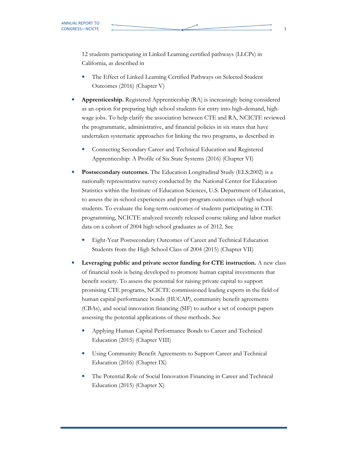12 students participating in Linked Learning certified pathways (LLCPs) in California, as described in

- The Effect of Linked Learning Certified Pathways on Selected Student Outcomes (2016) (Chapter V)
- Apprenticeship. Registered Apprenticeship (RA) is increasingly being considered as an option for preparing high school students for entry into high-demand, highwage jobs. To help clarify the association between CTE and RA, NCICTE reviewed the programmatic, administrative, and financial policies in six states that have undertaken systematic approaches for linking the two programs, as described in
	- Connecting Secondary Career and Technical Education and Registered Apprenticeship: A Profile of Six State Systems (2016) (Chapter VI)
- Postsecondary outcomes. The Education Longitudinal Study (ELS:2002) is a nationally representative survey conducted by the National Center for Education Statistics within the Institute of Education Sciences, U.S. Department of Education, to assess the in-school experiences and post-program outcomes of high school students. To evaluate the long-term outcomes of students participating in CTE programming, NCICTE analyzed recently released course taking and labor market data on a cohort of 2004 high school graduates as of 2012. See
	- Eight-Year Postsecondary Outcomes of Career and Technical Education Students from the High School Class of 2004 (2015) (Chapter VII)
- Leveraging public and private sector funding for CTE instruction. A new class of financial tools is being developed to promote human capital investments that benefit society. To assess the potential for raising private capital to support promising CTE programs, NCICTE commissioned leading experts in the field of human capital performance bonds (HUCAP), community benefit agreements (CBAs), and social innovation financing (SIF) to author a set of concept papers assessing the potential applications of these methods. See
	- Applying Human Capital Performance Bonds to Career and Technical Education (2015) (Chapter VIII)
	- Using Community Benefit Agreements to Support Career and Technical Education (2016) (Chapter IX)
	- The Potential Role of Social Innovation Financing in Career and Technical Education (2015) (Chapter X)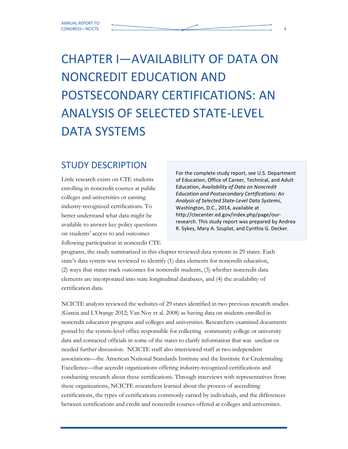# CHAPTER I—AVAILABILITY OF DATA ON NONCREDIT EDUCATION AND POSTSECONDARY CERTIFICATIONS: AN ANALYSIS OF SELECTED STATE-LEVEL DATA SYSTEMS

### STUDY DESCRIPTION

Little research exists on CTE students enrolling in noncredit courses at public colleges and universities or earning industry-recognized certifications. To better understand what data might be available to answer key policy questions on students' access to and outcomes following participation in noncredit CTE

For the complete study report, see U.S. Department of Education, Office of Career, Technical, and Adult Education, Availability of Data on Noncredit Education and Postsecondary Certifications: An Analysis of Selected State-Level Data Systems, Washington, D.C., 2014, available at http://ctecenter.ed.gov/index.php/page/ourresearch. This study report was prepared by Andrea R. Sykes, Mary A. Szuplat, and Cynthia G. Decker.

programs, the study summarized in this chapter reviewed data systems in 29 states. Each state's data system was reviewed to identify (1) data elements for noncredit education, (2) ways that states track outcomes for noncredit students, (3) whether noncredit data elements are incorporated into state longitudinal databases, and (4) the availability of certification data.

NCICTE analysts reviewed the websites of 29 states identified in two previous research studies (Garcia and L'Orange 2012; Van Noy et al. 2008) as having data on students enrolled in noncredit education programs and colleges and universities. Researchers examined documents posted by the system-level office responsible for collecting community college or university data and contacted officials in some of the states to clarify information that was unclear or needed further discussion. NCICTE staff also interviewed staff at two independent associations—the American National Standards Institute and the Institute for Credentialing Excellence—that accredit organizations offering industry-recognized certifications and conducting research about these certifications. Through interviews with representatives from these organizations, NCICTE researchers learned about the process of accrediting certifications, the types of certifications commonly earned by individuals, and the differences between certifications and credit and noncredit courses offered at colleges and universities.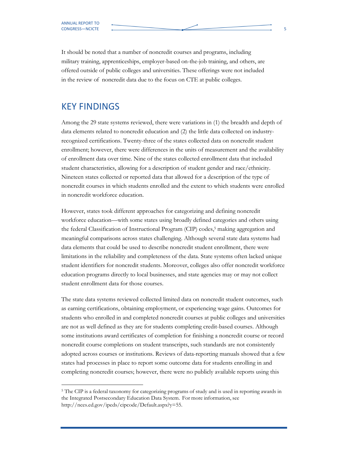It should be noted that a number of noncredit courses and programs, including military training, apprenticeships, employer-based on-the-job training, and others, are offered outside of public colleges and universities. These offerings were not included in the review of noncredit data due to the focus on CTE at public colleges.

#### KEY FINDINGS

 $\overline{a}$ 

Among the 29 state systems reviewed, there were variations in (1) the breadth and depth of data elements related to noncredit education and (2) the little data collected on industryrecognized certifications. Twenty-three of the states collected data on noncredit student enrollment; however, there were differences in the units of measurement and the availability of enrollment data over time. Nine of the states collected enrollment data that included student characteristics, allowing for a description of student gender and race/ethnicity. Nineteen states collected or reported data that allowed for a description of the type of noncredit courses in which students enrolled and the extent to which students were enrolled in noncredit workforce education.

However, states took different approaches for categorizing and defining noncredit workforce education—with some states using broadly defined categories and others using the federal Classification of Instructional Program (CIP) codes,<sup>5</sup> making aggregation and meaningful comparisons across states challenging. Although several state data systems had data elements that could be used to describe noncredit student enrollment, there were limitations in the reliability and completeness of the data. State systems often lacked unique student identifiers for noncredit students. Moreover, colleges also offer noncredit workforce education programs directly to local businesses, and state agencies may or may not collect student enrollment data for those courses.

The state data systems reviewed collected limited data on noncredit student outcomes, such as earning certifications, obtaining employment, or experiencing wage gains. Outcomes for students who enrolled in and completed noncredit courses at public colleges and universities are not as well defined as they are for students completing credit-based courses. Although some institutions award certificates of completion for finishing a noncredit course or record noncredit course completions on student transcripts, such standards are not consistently adopted across courses or institutions. Reviews of data-reporting manuals showed that a few states had processes in place to report some outcome data for students enrolling in and completing noncredit courses; however, there were no publicly available reports using this

<sup>&</sup>lt;sup>5</sup> The CIP is a federal taxonomy for categorizing programs of study and is used in reporting awards in the Integrated Postsecondary Education Data System. For more information, see http://nces.ed.gov/ipeds/cipcode/Default.aspx?y=55.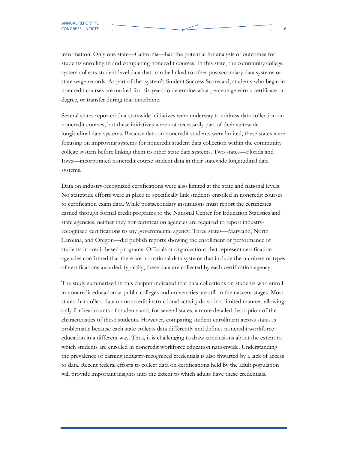information. Only one state—California—had the potential for analysis of outcomes for students enrolling in and completing noncredit courses. In this state, the community college system collects student-level data that can be linked to other postsecondary data systems or state wage records. As part of the system's Student Success Scorecard, students who begin in noncredit courses are tracked for six years to determine what percentage earn a certificate or degree, or transfer during that timeframe.

Several states reported that statewide initiatives were underway to address data collection on noncredit courses, but these initiatives were not necessarily part of their statewide longitudinal data systems. Because data on noncredit students were limited, these states were focusing on improving systems for noncredit student data collection within the community college system before linking them to other state data systems. Two states—Florida and Iowa—incorporated noncredit course student data in their statewide longitudinal data systems.

Data on industry-recognized certifications were also limited at the state and national levels. No statewide efforts were in place to specifically link students enrolled in noncredit courses to certification exam data. While postsecondary institutions must report the certificates earned through formal credit programs to the National Center for Education Statistics and state agencies, neither they nor certification agencies are required to report industryrecognized certifications to any governmental agency. Three states—Maryland, North Carolina, and Oregon—did publish reports showing the enrollment or performance of students in credit-based programs. Officials at organizations that represent certification agencies confirmed that there are no national data systems that include the numbers or types of certifications awarded; typically, these data are collected by each certification agency.

The study summarized in this chapter indicated that data collections on students who enroll in noncredit education at public colleges and universities are still in the nascent stages. Most states that collect data on noncredit instructional activity do so in a limited manner, allowing only for headcounts of students and, for several states, a more detailed description of the characteristics of these students. However, comparing student enrollment across states is problematic because each state collects data differently and defines noncredit workforce education in a different way. Thus, it is challenging to draw conclusions about the extent to which students are enrolled in noncredit workforce education nationwide. Understanding the prevalence of earning industry-recognized credentials is also thwarted by a lack of access to data. Recent federal efforts to collect data on certifications held by the adult population will provide important insights into the extent to which adults have these credentials.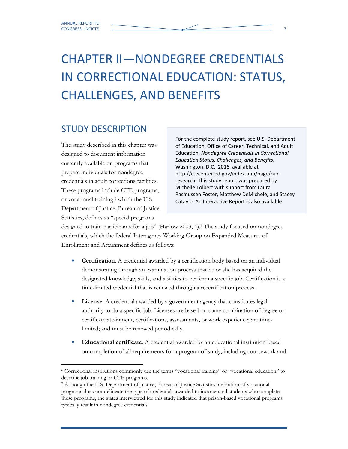## CHAPTER II—NONDEGREE CREDENTIALS IN CORRECTIONAL EDUCATION: STATUS, CHALLENGES, AND BENEFITS

### STUDY DESCRIPTION

The study described in this chapter was designed to document information currently available on programs that prepare individuals for nondegree credentials in adult corrections facilities. These programs include CTE programs, or vocational training,<sup>6</sup> which the U.S. Department of Justice, Bureau of Justice Statistics, defines as "special programs

For the complete study report, see U.S. Department of Education, Office of Career, Technical, and Adult Education, Nondegree Credentials in Correctional Education Status, Challenges, and Benefits. Washington, D.C., 2016, available at http://ctecenter.ed.gov/index.php/page/ourresearch. This study report was prepared by Michelle Tolbert with support from Laura Rasmussen Foster, Matthew DeMichele, and Stacey Cataylo. An Interactive Report is also available.

designed to train participants for a job" (Harlow 2003, 4).<sup>7</sup> The study focused on nondegree credentials, which the federal Interagency Working Group on Expanded Measures of Enrollment and Attainment defines as follows:

- Certification. A credential awarded by a certification body based on an individual demonstrating through an examination process that he or she has acquired the designated knowledge, skills, and abilities to perform a specific job. Certification is a time-limited credential that is renewed through a recertification process.
- License. A credential awarded by a government agency that constitutes legal authority to do a specific job. Licenses are based on some combination of degree or certificate attainment, certifications, assessments, or work experience; are timelimited; and must be renewed periodically.
- Educational certificate. A credential awarded by an educational institution based on completion of all requirements for a program of study, including coursework and

 6 Correctional institutions commonly use the terms "vocational training" or "vocational education" to describe job training or CTE programs.

<sup>7</sup> Although the U.S. Department of Justice, Bureau of Justice Statistics' definition of vocational programs does not delineate the type of credentials awarded to incarcerated students who complete these programs, the states interviewed for this study indicated that prison-based vocational programs typically result in nondegree credentials.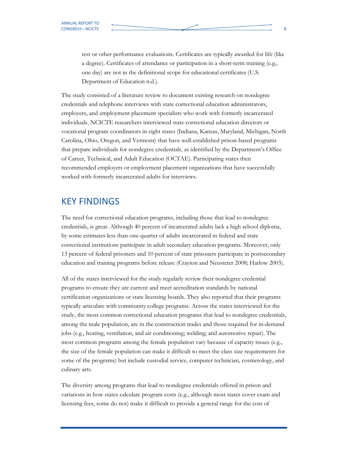test or other performance evaluations. Certificates are typically awarded for life (like a degree). Certificates of attendance or participation in a short-term training (e.g., one day) are not in the definitional scope for educational certificates (U.S. Department of Education n.d.).

The study consisted of a literature review to document existing research on nondegree credentials and telephone interviews with state correctional education administrators, employers, and employment placement specialists who work with formerly incarcerated individuals. NCICTE researchers interviewed state correctional education directors or vocational program coordinators in eight states (Indiana, Kansas, Maryland, Michigan, North Carolina, Ohio, Oregon, and Vermont) that have well-established prison-based programs that prepare individuals for nondegree credentials, as identified by the Department's Office of Career, Technical, and Adult Education (OCTAE). Participating states then recommended employers or employment placement organizations that have successfully worked with formerly incarcerated adults for interviews.

#### KEY FINDINGS

The need for correctional education programs, including those that lead to nondegree credentials, is great. Although 40 percent of incarcerated adults lack a high school diploma, by some estimates less than one-quarter of adults incarcerated in federal and state correctional institutions participate in adult secondary education programs. Moreover, only 13 percent of federal prisoners and 10 percent of state prisoners participate in postsecondary education and training programs before release (Crayton and Neusteter 2008; Harlow 2003).

All of the states interviewed for the study regularly review their nondegree credential programs to ensure they are current and meet accreditation standards by national certification organizations or state licensing boards. They also reported that their programs typically articulate with community college programs. Across the states interviewed for the study, the most common correctional education programs that lead to nondegree credentials, among the male population, are in the construction trades and those required for in-demand jobs (e.g., heating, ventilation, and air conditioning; welding; and automotive repair). The most common programs among the female population vary because of capacity issues (e.g., the size of the female population can make it difficult to meet the class size requirements for some of the programs) but include custodial service, computer technician, cosmetology, and culinary arts.

The diversity among programs that lead to nondegree credentials offered in prison and variations in how states calculate program costs (e.g., although most states cover exam and licensing fees, some do not) make it difficult to provide a general range for the cost of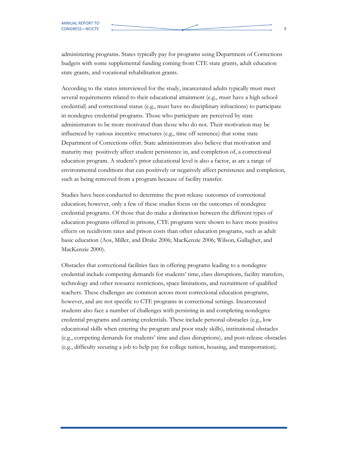administering programs. States typically pay for programs using Department of Corrections budgets with some supplemental funding coming from CTE state grants, adult education state grants, and vocational rehabilitation grants.

According to the states interviewed for the study, incarcerated adults typically must meet several requirements related to their educational attainment (e.g., must have a high school credential) and correctional status (e.g., must have no disciplinary infractions) to participate in nondegree credential programs. Those who participate are perceived by state administrators to be more motivated than those who do not. Their motivation may be influenced by various incentive structures (e.g., time off sentence) that some state Department of Corrections offer. State administrators also believe that motivation and maturity may positively affect student persistence in, and completion of, a correctional education program. A student's prior educational level is also a factor, as are a range of environmental conditions that can positively or negatively affect persistence and completion, such as being removed from a program because of facility transfer.

Studies have been conducted to determine the post-release outcomes of correctional education; however, only a few of these studies focus on the outcomes of nondegree credential programs. Of those that do make a distinction between the different types of education programs offered in prisons, CTE programs were shown to have more positive effects on recidivism rates and prison costs than other education programs, such as adult basic education (Aos, Miller, and Drake 2006; MacKenzie 2006; Wilson, Gallagher, and MacKenzie 2000).

Obstacles that correctional facilities face in offering programs leading to a nondegree credential include competing demands for students' time, class disruptions, facility transfers, technology and other resource restrictions, space limitations, and recruitment of qualified teachers. These challenges are common across most correctional education programs, however, and are not specific to CTE programs in correctional settings. Incarcerated students also face a number of challenges with persisting in and completing nondegree credential programs and earning credentials. These include personal obstacles (e.g., low educational skills when entering the program and poor study skills), institutional obstacles (e.g., competing demands for students' time and class disruptions), and post-release obstacles (e.g., difficulty securing a job to help pay for college tuition, housing, and transportation).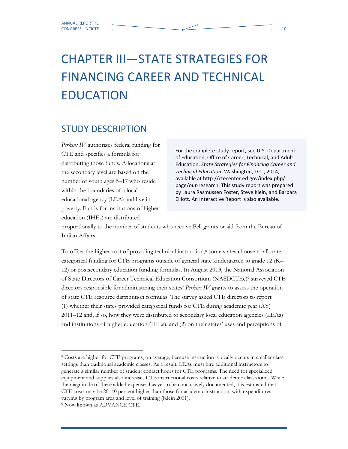## CHAPTER III—STATE STRATEGIES FOR FINANCING CAREER AND TECHNICAL EDUCATION

### STUDY DESCRIPTION

Perkins IV authorizes federal funding for CTE and specifies a formula for distributing those funds. Allocations at the secondary level are based on the number of youth ages 5–17 who reside within the boundaries of a local educational agency (LEA) and live in poverty. Funds for institutions of higher education (IHEs) are distributed

For the complete study report, see U.S. Department of Education, Office of Career, Technical, and Adult Education, State Strategies for Financing Career and Technical Education. Washington, D.C., 2014, available at http://ctecenter.ed.gov/index.php/ page/our-research. This study report was prepared by Laura Rasmussen Foster, Steve Klein, and Barbara Elliott. An Interactive Report is also available.

proportionally to the number of students who receive Pell grants or aid from the Bureau of Indian Affairs.

To offset the higher cost of providing technical instruction,<sup>8</sup> some states choose to allocate categorical funding for CTE programs outside of general state kindergarten to grade 12 (K– 12) or postsecondary education funding formulas. In August 2013, the National Association of State Directors of Career Technical Education Consortium (NASDCTEc)<sup>9</sup> surveyed CTE directors responsible for administering their states' Perkins IV grants to assess the operation of state CTE resource distribution formulas. The survey asked CTE directors to report (1) whether their states provided categorical funds for CTE during academic year (AY) 2011–12 and, if so, how they were distributed to secondary local education agencies (LEAs) and institutions of higher education (IHEs); and (2) on their states' uses and perceptions of

 $\overline{a}$ 

<sup>8</sup> Costs are higher for CTE programs, on average, because instruction typically occurs in smaller class settings than traditional academic classes. As a result, LEAs must hire additional instructors to generate a similar number of student contact hours for CTE programs. The need for specialized equipment and supplies also increases CTE instructional costs relative to academic classrooms. While the magnitude of these added expenses has yet to be conclusively documented, it is estimated that CTE costs may be 20–40 percent higher than those for academic instruction, with expenditures varying by program area and level of training (Klein 2001).

<sup>9</sup> Now known as ADVANCE CTE.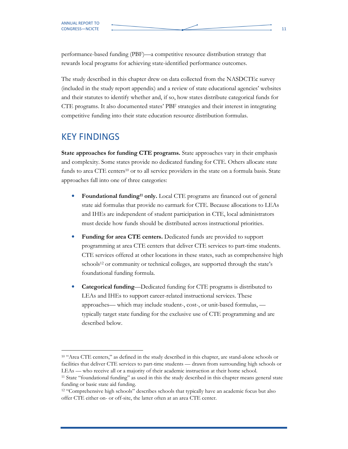performance-based funding (PBF)—a competitive resource distribution strategy that rewards local programs for achieving state-identified performance outcomes.

The study described in this chapter drew on data collected from the NASDCTEc survey (included in the study report appendix) and a review of state educational agencies' websites and their statutes to identify whether and, if so, how states distribute categorical funds for CTE programs. It also documented states' PBF strategies and their interest in integrating competitive funding into their state education resource distribution formulas.

#### KEY FINDINGS

-

State approaches for funding CTE programs. State approaches vary in their emphasis and complexity. Some states provide no dedicated funding for CTE. Others allocate state funds to area CTE centers<sup>10</sup> or to all service providers in the state on a formula basis. State approaches fall into one of three categories:

- Foundational funding<sup>11</sup> only. Local CTE programs are financed out of general state aid formulas that provide no earmark for CTE. Because allocations to LEAs and IHEs are independent of student participation in CTE, local administrators must decide how funds should be distributed across instructional priorities.
- Funding for area CTE centers. Dedicated funds are provided to support programming at area CTE centers that deliver CTE services to part-time students. CTE services offered at other locations in these states, such as comprehensive high schools<sup>12</sup> or community or technical colleges, are supported through the state's foundational funding formula.
- Categorical funding—Dedicated funding for CTE programs is distributed to LEAs and IHEs to support career-related instructional services. These approaches— which may include student-, cost-, or unit-based formulas, typically target state funding for the exclusive use of CTE programming and are described below.

<sup>&</sup>lt;sup>10</sup> "Area CTE centers," as defined in the study described in this chapter, are stand-alone schools or facilities that deliver CTE services to part-time students — drawn from surrounding high schools or LEAs — who receive all or a majority of their academic instruction at their home school.

<sup>&</sup>lt;sup>11</sup> State "foundational funding" as used in this the study described in this chapter means general state funding or basic state aid funding.

<sup>&</sup>lt;sup>12</sup> "Comprehensive high schools" describes schools that typically have an academic focus but also offer CTE either on- or off-site, the latter often at an area CTE center.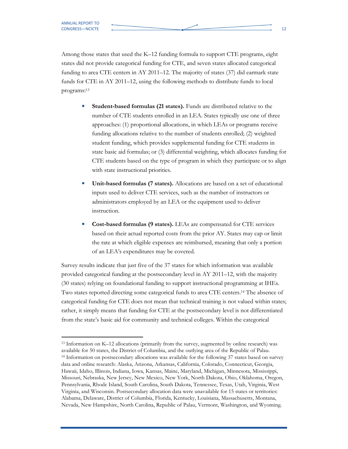Among those states that used the K–12 funding formula to support CTE programs, eight states did not provide categorical funding for CTE, and seven states allocated categorical funding to area CTE centers in AY 2011–12. The majority of states (37) did earmark state funds for CTE in AY 2011–12, using the following methods to distribute funds to local programs:<sup>13</sup>

- Student-based formulas (21 states). Funds are distributed relative to the number of CTE students enrolled in an LEA. States typically use one of three approaches: (1) proportional allocations, in which LEAs or programs receive funding allocations relative to the number of students enrolled; (2) weighted student funding, which provides supplemental funding for CTE students in state basic aid formulas; or (3) differential weighting, which allocates funding for CTE students based on the type of program in which they participate or to align with state instructional priorities.
- Unit-based formulas (7 states). Allocations are based on a set of educational inputs used to deliver CTE services, such as the number of instructors or administrators employed by an LEA or the equipment used to deliver instruction.
- Cost-based formulas (9 states). LEAs are compensated for CTE services based on their actual reported costs from the prior AY. States may cap or limit the rate at which eligible expenses are reimbursed, meaning that only a portion of an LEA's expenditures may be covered.

Survey results indicate that just five of the 37 states for which information was available provided categorical funding at the postsecondary level in AY 2011–12, with the majority (30 states) relying on foundational funding to support instructional programming at IHEs. Two states reported directing some categorical funds to area CTE centers.14 The absence of categorical funding for CTE does not mean that technical training is not valued within states; rather, it simply means that funding for CTE at the postsecondary level is not differentiated from the state's basic aid for community and technical colleges. Within the categorical

<sup>13</sup> Information on K–12 allocations (primarily from the survey, augmented by online research) was available for 50 states, the District of Columbia, and the outlying area of the Republic of Palau. <sup>14</sup> Information on postsecondary allocations was available for the following 37 states based on survey data and online research: Alaska, Arizona, Arkansas, California, Colorado, Connecticut, Georgia, Hawaii, Idaho, Illinois, Indiana, Iowa, Kansas, Maine, Maryland, Michigan, Minnesota, Mississippi, Missouri, Nebraska, New Jersey, New Mexico, New York, North Dakota, Ohio, Oklahoma, Oregon, Pennsylvania, Rhode Island, South Carolina, South Dakota, Tennessee, Texas, Utah, Virginia, West Virginia, and Wisconsin. Postsecondary allocation data were unavailable for 15 states or territories: Alabama, Delaware, District of Columbia, Florida, Kentucky, Louisiana, Massachusetts, Montana, Nevada, New Hampshire, North Carolina, Republic of Palau, Vermont, Washington, and Wyoming.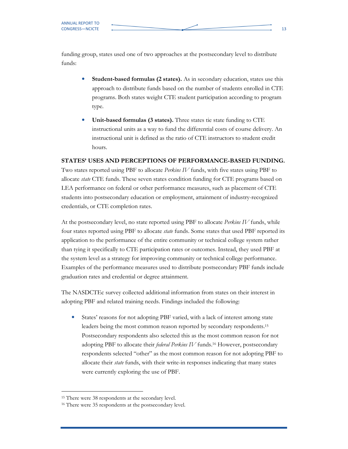funding group, states used one of two approaches at the postsecondary level to distribute funds:

- Student-based formulas (2 states). As in secondary education, states use this approach to distribute funds based on the number of students enrolled in CTE programs. Both states weight CTE student participation according to program type.
- Unit-based formulas (3 states). Three states tie state funding to CTE instructional units as a way to fund the differential costs of course delivery. An instructional unit is defined as the ratio of CTE instructors to student credit hours.

#### STATES' USES AND PERCEPTIONS OF PERFORMANCE-BASED FUNDING.

Two states reported using PBF to allocate Perkins IV funds, with five states using PBF to allocate *state* CTE funds. These seven states condition funding for CTE programs based on LEA performance on federal or other performance measures, such as placement of CTE students into postsecondary education or employment, attainment of industry-recognized credentials, or CTE completion rates.

At the postsecondary level, no state reported using PBF to allocate *Perkins IV* funds, while four states reported using PBF to allocate *state* funds. Some states that used PBF reported its application to the performance of the entire community or technical college system rather than tying it specifically to CTE participation rates or outcomes. Instead, they used PBF at the system level as a strategy for improving community or technical college performance. Examples of the performance measures used to distribute postsecondary PBF funds include graduation rates and credential or degree attainment.

The NASDCTEc survey collected additional information from states on their interest in adopting PBF and related training needs. Findings included the following:

States' reasons for not adopting PBF varied, with a lack of interest among state leaders being the most common reason reported by secondary respondents.<sup>15</sup> Postsecondary respondents also selected this as the most common reason for not adopting PBF to allocate their *federal Perkins IV* funds.<sup>16</sup> However, postsecondary respondents selected "other" as the most common reason for not adopting PBF to allocate their state funds, with their write-in responses indicating that many states were currently exploring the use of PBF.

 <sup>15</sup> There were 38 respondents at the secondary level.

<sup>16</sup> There were 35 respondents at the postsecondary level.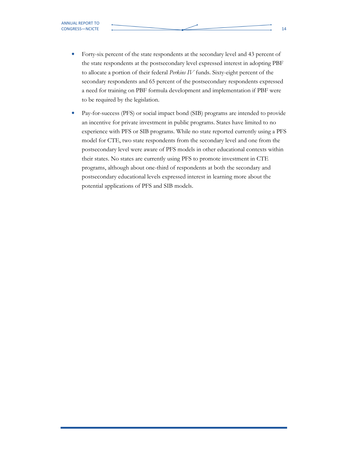- Forty-six percent of the state respondents at the secondary level and 43 percent of the state respondents at the postsecondary level expressed interest in adopting PBF to allocate a portion of their federal Perkins IV funds. Sixty-eight percent of the secondary respondents and 65 percent of the postsecondary respondents expressed a need for training on PBF formula development and implementation if PBF were to be required by the legislation.
- Pay-for-success (PFS) or social impact bond (SIB) programs are intended to provide an incentive for private investment in public programs. States have limited to no experience with PFS or SIB programs. While no state reported currently using a PFS model for CTE, two state respondents from the secondary level and one from the postsecondary level were aware of PFS models in other educational contexts within their states. No states are currently using PFS to promote investment in CTE programs, although about one-third of respondents at both the secondary and postsecondary educational levels expressed interest in learning more about the potential applications of PFS and SIB models.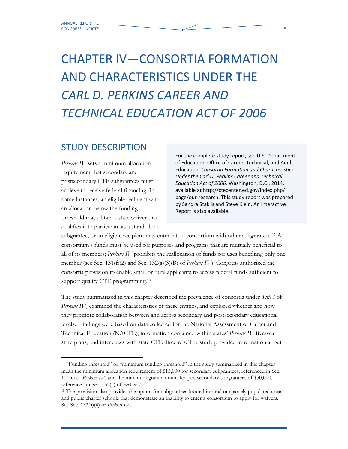# CHAPTER IV—CONSORTIA FORMATION AND CHARACTERISTICS UNDER THE CARL D. PERKINS CAREER AND TECHNICAL EDUCATION ACT OF 2006

### STUDY DESCRIPTION

Perkins IV sets a minimum allocation requirement that secondary and postsecondary CTE subgrantees must achieve to receive federal financing. In some instances, an eligible recipient with an allocation below the funding threshold may obtain a state waiver that qualifies it to participate as a stand-alone

For the complete study report, see U.S. Department of Education, Office of Career, Technical, and Adult Education, Consortia Formation and Characteristics Under the Carl D. Perkins Career and Technical Education Act of 2006. Washington, D.C., 2014, available at http://ctecenter.ed.gov/index.php/ page/our-research. This study report was prepared by Sandra Staklis and Steve Klein. An Interactive Report is also available.

subgrantee, or an eligible recipient may enter into a consortium with other subgrantees.<sup>17</sup> A consortium's funds must be used for purposes and programs that are mutually beneficial to all of its members; Perkins IV prohibits the reallocation of funds for uses benefiting only one member (see Sec. 131(f)(2) and Sec. 132(a)(3)(B) of *Perkins IV*). Congress authorized the consortia provision to enable small or rural applicants to access federal funds sufficient to support quality CTE programming.<sup>18</sup>

The study summarized in this chapter described the prevalence of consortia under Title I of Perkins IV, examined the characteristics of these entities, and explored whether and how they promote collaboration between and across secondary and postsecondary educational levels. Findings were based on data collected for the National Assessment of Career and Technical Education (NACTE), information contained within states' Perkins IV five-year state plans, and interviews with state CTE directors. The study provided information about

<sup>&</sup>lt;sup>17</sup> "Funding threshold" or "minimum funding threshold" in the study summarized in this chapter mean the minimum allocation requirement of \$15,000 for secondary subgrantees, referenced in Sec. 131(c) of Perkins IV, and the minimum grant amount for postsecondary subgrantees of \$50,000, referenced in Sec. 132(c) of Perkins IV.

<sup>&</sup>lt;sup>18</sup> The provision also provides the option for subgrantees located in rural or sparsely populated areas and public charter schools that demonstrate an inability to enter a consortium to apply for waivers. See Sec. 132(a)(4) of Perkins IV.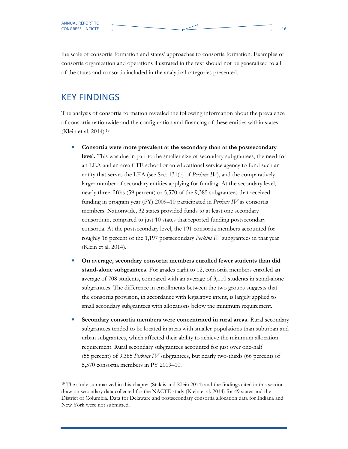the scale of consortia formation and states' approaches to consortia formation. Examples of consortia organization and operations illustrated in the text should not be generalized to all of the states and consortia included in the analytical categories presented.

### KEY FINDINGS

The analysis of consortia formation revealed the following information about the prevalence of consortia nationwide and the configuration and financing of these entities within states (Klein et al. 2014).<sup>19</sup>

- Consortia were more prevalent at the secondary than at the postsecondary level. This was due in part to the smaller size of secondary subgrantees, the need for an LEA and an area CTE school or an educational service agency to fund such an entity that serves the LEA (see Sec. 131(c) of *Perkins IV*), and the comparatively larger number of secondary entities applying for funding. At the secondary level, nearly three-fifths (59 percent) or 5,570 of the 9,385 subgrantees that received funding in program year (PY) 2009–10 participated in Perkins IV as consortia members. Nationwide, 32 states provided funds to at least one secondary consortium, compared to just 10 states that reported funding postsecondary consortia. At the postsecondary level, the 191 consortia members accounted for roughly 16 percent of the 1,197 postsecondary *Perkins IV* subgrantees in that year (Klein et al. 2014).
- On average, secondary consortia members enrolled fewer students than did stand-alone subgrantees. For grades eight to 12, consortia members enrolled an average of 708 students, compared with an average of 3,110 students in stand-alone subgrantees. The difference in enrollments between the two groups suggests that the consortia provision, in accordance with legislative intent, is largely applied to small secondary subgrantees with allocations below the minimum requirement.
- Secondary consortia members were concentrated in rural areas. Rural secondary subgrantees tended to be located in areas with smaller populations than suburban and urban subgrantees, which affected their ability to achieve the minimum allocation requirement. Rural secondary subgrantees accounted for just over one-half (55 percent) of 9,385 Perkins IV subgrantees, but nearly two-thirds (66 percent) of 5,570 consortia members in PY 2009–10.

<sup>19</sup> The study summarized in this chapter (Staklis and Klein 2014) and the findings cited in this section draw on secondary data collected for the NACTE study (Klein et al. 2014) for 49 states and the District of Columbia. Data for Delaware and postsecondary consortia allocation data for Indiana and New York were not submitted.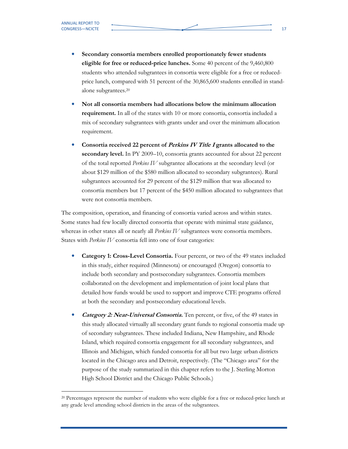$\overline{a}$ 

- Secondary consortia members enrolled proportionately fewer students eligible for free or reduced-price lunches. Some 40 percent of the 9,460,800 students who attended subgrantees in consortia were eligible for a free or reducedprice lunch, compared with 51 percent of the 30,865,600 students enrolled in standalone subgrantees.<sup>20</sup>
- Not all consortia members had allocations below the minimum allocation requirement. In all of the states with 10 or more consortia, consortia included a mix of secondary subgrantees with grants under and over the minimum allocation requirement.
- Consortia received 22 percent of *Perkins IV Title I* grants allocated to the secondary level. In PY 2009–10, consortia grants accounted for about 22 percent of the total reported Perkins IV subgrantee allocations at the secondary level (or about \$129 million of the \$580 million allocated to secondary subgrantees). Rural subgrantees accounted for 29 percent of the \$129 million that was allocated to consortia members but 17 percent of the \$450 million allocated to subgrantees that were not consortia members.

The composition, operation, and financing of consortia varied across and within states. Some states had few locally directed consortia that operate with minimal state guidance, whereas in other states all or nearly all *Perkins IV* subgrantees were consortia members. States with Perkins IV consortia fell into one of four categories:

- Category 1: Cross-Level Consortia. Four percent, or two of the 49 states included in this study, either required (Minnesota) or encouraged (Oregon) consortia to include both secondary and postsecondary subgrantees. Consortia members collaborated on the development and implementation of joint local plans that detailed how funds would be used to support and improve CTE programs offered at both the secondary and postsecondary educational levels.
- Category 2: Near-Universal Consortia. Ten percent, or five, of the 49 states in this study allocated virtually all secondary grant funds to regional consortia made up of secondary subgrantees. These included Indiana, New Hampshire, and Rhode Island, which required consortia engagement for all secondary subgrantees, and Illinois and Michigan, which funded consortia for all but two large urban districts located in the Chicago area and Detroit, respectively. (The "Chicago area" for the purpose of the study summarized in this chapter refers to the J. Sterling Morton High School District and the Chicago Public Schools.)

<sup>&</sup>lt;sup>20</sup> Percentages represent the number of students who were eligible for a free or reduced-price lunch at any grade level attending school districts in the areas of the subgrantees.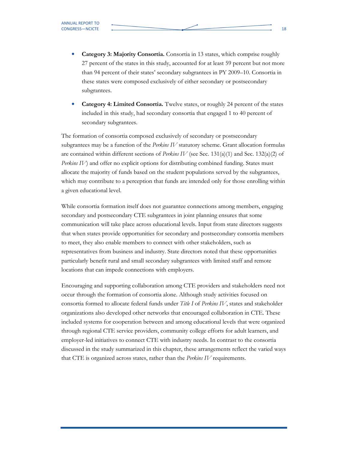- Category 3: Majority Consortia. Consortia in 13 states, which comprise roughly 27 percent of the states in this study, accounted for at least 59 percent but not more than 94 percent of their states' secondary subgrantees in PY 2009–10. Consortia in these states were composed exclusively of either secondary or postsecondary subgrantees.
- Category 4: Limited Consortia. Twelve states, or roughly 24 percent of the states included in this study, had secondary consortia that engaged 1 to 40 percent of secondary subgrantees.

The formation of consortia composed exclusively of secondary or postsecondary subgrantees may be a function of the *Perkins IV* statutory scheme. Grant allocation formulas are contained within different sections of *Perkins IV* (see Sec. 131(a)(1) and Sec. 132(a)(2) of Perkins IV) and offer no explicit options for distributing combined funding. States must allocate the majority of funds based on the student populations served by the subgrantees, which may contribute to a perception that funds are intended only for those enrolling within a given educational level.

While consortia formation itself does not guarantee connections among members, engaging secondary and postsecondary CTE subgrantees in joint planning ensures that some communication will take place across educational levels. Input from state directors suggests that when states provide opportunities for secondary and postsecondary consortia members to meet, they also enable members to connect with other stakeholders, such as representatives from business and industry. State directors noted that these opportunities particularly benefit rural and small secondary subgrantees with limited staff and remote locations that can impede connections with employers.

Encouraging and supporting collaboration among CTE providers and stakeholders need not occur through the formation of consortia alone. Although study activities focused on consortia formed to allocate federal funds under Title I of Perkins IV, states and stakeholder organizations also developed other networks that encouraged collaboration in CTE. These included systems for cooperation between and among educational levels that were organized through regional CTE service providers, community college efforts for adult learners, and employer-led initiatives to connect CTE with industry needs. In contrast to the consortia discussed in the study summarized in this chapter, these arrangements reflect the varied ways that CTE is organized across states, rather than the Perkins IV requirements.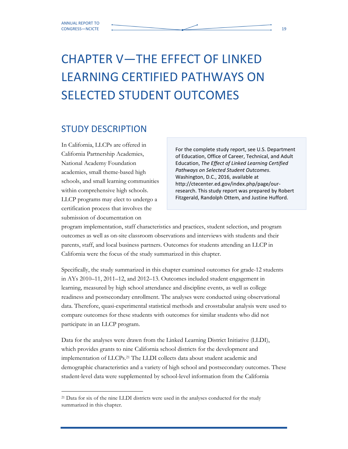## CHAPTER V—THE EFFECT OF LINKED LEARNING CERTIFIED PATHWAYS ON SELECTED STUDENT OUTCOMES

### STUDY DESCRIPTION

In California, LLCPs are offered in California Partnership Academies, National Academy Foundation academies, small theme-based high schools, and small learning communities within comprehensive high schools. LLCP programs may elect to undergo a certification process that involves the submission of documentation on

For the complete study report, see U.S. Department of Education, Office of Career, Technical, and Adult Education, The Effect of Linked Learning Certified Pathways on Selected Student Outcomes. Washington, D.C., 2016, available at http://ctecenter.ed.gov/index.php/page/ourresearch. This study report was prepared by Robert Fitzgerald, Randolph Ottem, and Justine Hufford.

program implementation, staff characteristics and practices, student selection, and program outcomes as well as on-site classroom observations and interviews with students and their parents, staff, and local business partners. Outcomes for students attending an LLCP in California were the focus of the study summarized in this chapter.

Specifically, the study summarized in this chapter examined outcomes for grade-12 students in AYs 2010–11, 2011–12, and 2012–13. Outcomes included student engagement in learning, measured by high school attendance and discipline events, as well as college readiness and postsecondary enrollment. The analyses were conducted using observational data. Therefore, quasi-experimental statistical methods and crosstabular analysis were used to compare outcomes for these students with outcomes for similar students who did not participate in an LLCP program.

Data for the analyses were drawn from the Linked Learning District Initiative (LLDI), which provides grants to nine California school districts for the development and implementation of LLCPs.21 The LLDI collects data about student academic and demographic characteristics and a variety of high school and postsecondary outcomes. These student-level data were supplemented by school-level information from the California

<sup>&</sup>lt;sup>21</sup> Data for six of the nine LLDI districts were used in the analyses conducted for the study summarized in this chapter.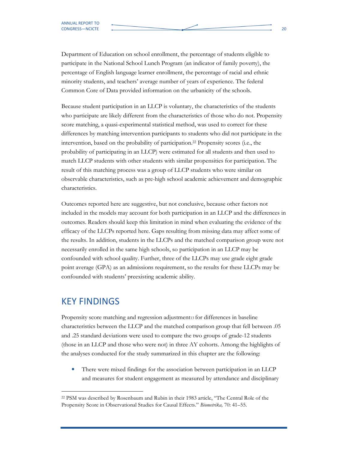Department of Education on school enrollment, the percentage of students eligible to participate in the National School Lunch Program (an indicator of family poverty), the percentage of English language learner enrollment, the percentage of racial and ethnic minority students, and teachers' average number of years of experience. The federal Common Core of Data provided information on the urbanicity of the schools.

Because student participation in an LLCP is voluntary, the characteristics of the students who participate are likely different from the characteristics of those who do not. Propensity score matching, a quasi-experimental statistical method, was used to correct for these differences by matching intervention participants to students who did not participate in the intervention, based on the probability of participation.22 Propensity scores (i.e., the probability of participating in an LLCP) were estimated for all students and then used to match LLCP students with other students with similar propensities for participation. The result of this matching process was a group of LLCP students who were similar on observable characteristics, such as pre-high school academic achievement and demographic characteristics.

Outcomes reported here are suggestive, but not conclusive, because other factors not included in the models may account for both participation in an LLCP and the differences in outcomes. Readers should keep this limitation in mind when evaluating the evidence of the efficacy of the LLCPs reported here. Gaps resulting from missing data may affect some of the results. In addition, students in the LLCPs and the matched comparison group were not necessarily enrolled in the same high schools, so participation in an LLCP may be confounded with school quality. Further, three of the LLCPs may use grade eight grade point average (GPA) as an admissions requirement, so the results for these LLCPs may be confounded with students' preexisting academic ability.

#### KEY FINDINGS

Propensity score matching and regression adjustment13 for differences in baseline characteristics between the LLCP and the matched comparison group that fell between .05 and .25 standard deviations were used to compare the two groups of grade-12 students (those in an LLCP and those who were not) in three AY cohorts. Among the highlights of the analyses conducted for the study summarized in this chapter are the following:

There were mixed findings for the association between participation in an LLCP and measures for student engagement as measured by attendance and disciplinary

<sup>22</sup> PSM was described by Rosenbaum and Rubin in their 1983 article, "The Central Role of the Propensity Score in Observational Studies for Causal Effects." Biometrika, 70: 41-55.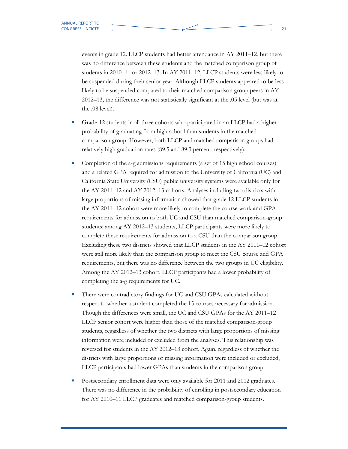events in grade 12. LLCP students had better attendance in AY 2011–12, but there was no difference between these students and the matched comparison group of students in 2010–11 or 2012–13. In AY 2011–12, LLCP students were less likely to be suspended during their senior year. Although LLCP students appeared to be less likely to be suspended compared to their matched comparison group peers in AY 2012–13, the difference was not statistically significant at the .05 level (but was at the .08 level).

- Grade-12 students in all three cohorts who participated in an LLCP had a higher probability of graduating from high school than students in the matched comparison group. However, both LLCP and matched comparison groups had relatively high graduation rates (89.5 and 89.3 percent, respectively).
- Completion of the a-g admissions requirements (a set of 15 high school courses) and a related GPA required for admission to the University of California (UC) and California State University (CSU) public university systems were available only for the AY 2011–12 and AY 2012–13 cohorts. Analyses including two districts with large proportions of missing information showed that grade 12 LLCP students in the AY 2011–12 cohort were more likely to complete the course work and GPA requirements for admission to both UC and CSU than matched comparison-group students; among AY 2012–13 students, LLCP participants were more likely to complete these requirements for admission to a CSU than the comparison group. Excluding these two districts showed that LLCP students in the AY 2011–12 cohort were still more likely than the comparison group to meet the CSU course and GPA requirements, but there was no difference between the two groups in UC eligibility. Among the AY 2012–13 cohort, LLCP participants had a lower probability of completing the a-g requirements for UC.
- There were contradictory findings for UC and CSU GPAs calculated without respect to whether a student completed the 15 courses necessary for admission. Though the differences were small, the UC and CSU GPAs for the AY 2011–12 LLCP senior cohort were higher than those of the matched comparison-group students, regardless of whether the two districts with large proportions of missing information were included or excluded from the analyses. This relationship was reversed for students in the AY 2012–13 cohort. Again, regardless of whether the districts with large proportions of missing information were included or excluded, LLCP participants had lower GPAs than students in the comparison group.
- Postsecondary enrollment data were only available for 2011 and 2012 graduates. There was no difference in the probability of enrolling in postsecondary education for AY 2010–11 LLCP graduates and matched comparison-group students.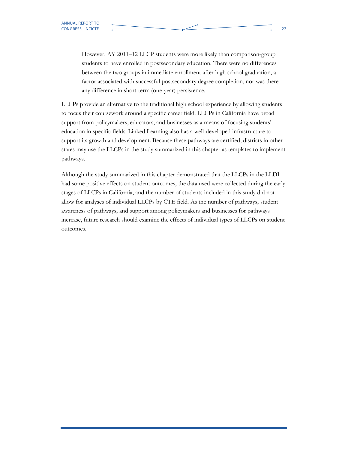However, AY 2011–12 LLCP students were more likely than comparison-group students to have enrolled in postsecondary education. There were no differences between the two groups in immediate enrollment after high school graduation, a factor associated with successful postsecondary degree completion, nor was there any difference in short-term (one-year) persistence.

LLCPs provide an alternative to the traditional high school experience by allowing students to focus their coursework around a specific career field. LLCPs in California have broad support from policymakers, educators, and businesses as a means of focusing students' education in specific fields. Linked Learning also has a well-developed infrastructure to support its growth and development. Because these pathways are certified, districts in other states may use the LLCPs in the study summarized in this chapter as templates to implement pathways.

Although the study summarized in this chapter demonstrated that the LLCPs in the LLDI had some positive effects on student outcomes, the data used were collected during the early stages of LLCPs in California, and the number of students included in this study did not allow for analyses of individual LLCPs by CTE field. As the number of pathways, student awareness of pathways, and support among policymakers and businesses for pathways increase, future research should examine the effects of individual types of LLCPs on student outcomes.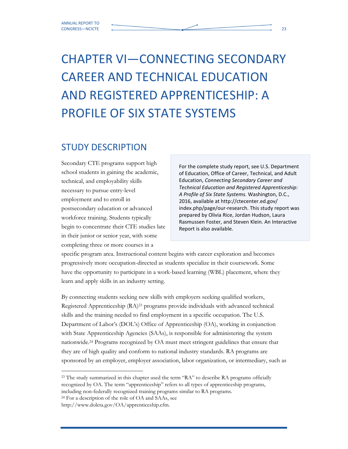# CHAPTER VI—CONNECTING SECONDARY CAREER AND TECHNICAL EDUCATION AND REGISTERED APPRENTICESHIP: A PROFILE OF SIX STATE SYSTEMS

### STUDY DESCRIPTION

Secondary CTE programs support high school students in gaining the academic, technical, and employability skills necessary to pursue entry-level employment and to enroll in postsecondary education or advanced workforce training. Students typically begin to concentrate their CTE studies late in their junior or senior year, with some completing three or more courses in a

For the complete study report, see U.S. Department of Education, Office of Career, Technical, and Adult Education, Connecting Secondary Career and Technical Education and Registered Apprenticeship: A Profile of Six State Systems. Washington, D.C., 2016, available at http://ctecenter.ed.gov/ index.php/page/our-research. This study report was prepared by Olivia Rice, Jordan Hudson, Laura Rasmussen Foster, and Steven Klein. An Interactive Report is also available.

specific program area. Instructional content begins with career exploration and becomes progressively more occupation-directed as students specialize in their coursework. Some have the opportunity to participate in a work-based learning (WBL) placement, where they learn and apply skills in an industry setting.

By connecting students seeking new skills with employers seeking qualified workers, Registered Apprenticeship (RA)23 programs provide individuals with advanced technical skills and the training needed to find employment in a specific occupation. The U.S. Department of Labor's (DOL's) Office of Apprenticeship (OA), working in conjunction with State Apprenticeship Agencies (SAAs), is responsible for administering the system nationwide.24 Programs recognized by OA must meet stringent guidelines that ensure that they are of high quality and conform to national industry standards. RA programs are sponsored by an employer, employer association, labor organization, or intermediary, such as

<sup>&</sup>lt;sup>23</sup> The study summarized in this chapter used the term "RA" to describe RA programs officially recognized by OA. The term "apprenticeship" refers to all types of apprenticeship programs, including non-federally recognized training programs similar to RA programs. <sup>24</sup> For a description of the role of OA and SAAs, see

http://www.doleta.gov/OA/apprenticeship.cfm.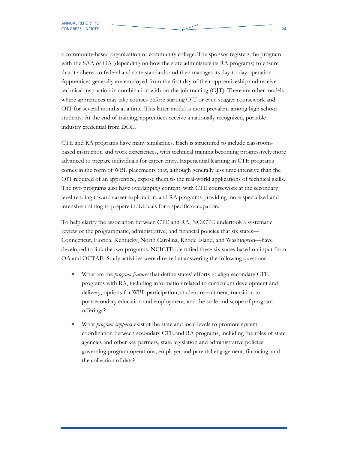a community-based organization or community college. The sponsor registers the program with the SAA or OA (depending on how the state administers its RA programs) to ensure that it adheres to federal and state standards and then manages its day-to-day operation. Apprentices generally are employed from the first day of their apprenticeship and receive technical instruction in combination with on-the-job training (OJT). There are other models where apprentices may take courses before starting OJT or even stagger coursework and OJT for several months at a time. This latter model is more prevalent among high school students. At the end of training, apprentices receive a nationally recognized, portable industry credential from DOL.

CTE and RA programs have many similarities. Each is structured to include classroombased instruction and work experiences, with technical training becoming progressively more advanced to prepare individuals for career entry. Experiential learning in CTE programs comes in the form of WBL placements that, although generally less time intensive than the OJT required of an apprentice, expose them to the real-world applications of technical skills. The two programs also have overlapping content, with CTE coursework at the secondary level tending toward career exploration, and RA programs providing more specialized and intensive training to prepare individuals for a specific occupation.

To help clarify the association between CTE and RA, NCICTE undertook a systematic review of the programmatic, administrative, and financial policies that six states— Connecticut, Florida, Kentucky, North Carolina, Rhode Island, and Washington—have developed to link the two programs. NCICTE identified these six states based on input from OA and OCTAE. Study activities were directed at answering the following questions:

- What are the *program features* that define states' efforts to align secondary CTE programs with RA, including information related to curriculum development and delivery, options for WBL participation, student recruitment, transition to postsecondary education and employment, and the scale and scope of program offerings?
- What *program supports* exist at the state and local levels to promote system coordination between secondary CTE and RA programs, including the roles of state agencies and other key partners, state legislation and administrative policies governing program operations, employer and parental engagement, financing, and the collection of data?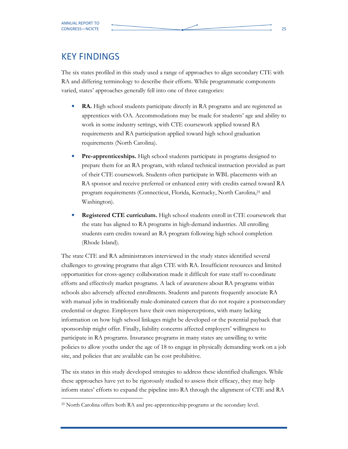### KEY FINDINGS

The six states profiled in this study used a range of approaches to align secondary CTE with RA and differing terminology to describe their efforts. While programmatic components varied, states' approaches generally fell into one of three categories:

- **RA.** High school students participate directly in RA programs and are registered as apprentices with OA. Accommodations may be made for students' age and ability to work in some industry settings, with CTE coursework applied toward RA requirements and RA participation applied toward high school graduation requirements (North Carolina).
- Pre-apprenticeships. High school students participate in programs designed to prepare them for an RA program, with related technical instruction provided as part of their CTE coursework. Students often participate in WBL placements with an RA sponsor and receive preferred or enhanced entry with credits earned toward RA program requirements (Connecticut, Florida, Kentucky, North Carolina,25 and Washington).
- Registered CTE curriculum. High school students enroll in CTE coursework that the state has aligned to RA programs in high-demand industries. All enrolling students earn credits toward an RA program following high school completion (Rhode Island).

The state CTE and RA administrators interviewed in the study states identified several challenges to growing programs that align CTE with RA. Insufficient resources and limited opportunities for cross-agency collaboration made it difficult for state staff to coordinate efforts and effectively market programs. A lack of awareness about RA programs within schools also adversely affected enrollments. Students and parents frequently associate RA with manual jobs in traditionally male-dominated careers that do not require a postsecondary credential or degree. Employers have their own misperceptions, with many lacking information on how high school linkages might be developed or the potential payback that sponsorship might offer. Finally, liability concerns affected employers' willingness to participate in RA programs. Insurance programs in many states are unwilling to write policies to allow youths under the age of 18 to engage in physically demanding work on a job site, and policies that are available can be cost prohibitive.

The six states in this study developed strategies to address these identified challenges. While these approaches have yet to be rigorously studied to assess their efficacy, they may help inform states' efforts to expand the pipeline into RA through the alignment of CTE and RA

<sup>&</sup>lt;sup>25</sup> North Carolina offers both RA and pre-apprenticeship programs at the secondary level.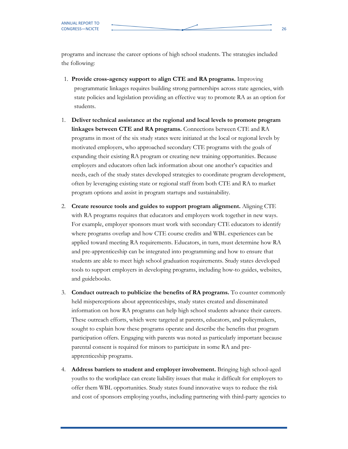programs and increase the career options of high school students. The strategies included the following:

- 1. Provide cross-agency support to align CTE and RA programs. Improving programmatic linkages requires building strong partnerships across state agencies, with state policies and legislation providing an effective way to promote RA as an option for students.
- 1. Deliver technical assistance at the regional and local levels to promote program linkages between CTE and RA programs. Connections between CTE and RA programs in most of the six study states were initiated at the local or regional levels by motivated employers, who approached secondary CTE programs with the goals of expanding their existing RA program or creating new training opportunities. Because employers and educators often lack information about one another's capacities and needs, each of the study states developed strategies to coordinate program development, often by leveraging existing state or regional staff from both CTE and RA to market program options and assist in program startups and sustainability.
- 2. Create resource tools and guides to support program alignment. Aligning CTE with RA programs requires that educators and employers work together in new ways. For example, employer sponsors must work with secondary CTE educators to identify where programs overlap and how CTE course credits and WBL experiences can be applied toward meeting RA requirements. Educators, in turn, must determine how RA and pre-apprenticeship can be integrated into programming and how to ensure that students are able to meet high school graduation requirements. Study states developed tools to support employers in developing programs, including how-to guides, websites, and guidebooks.
- 3. Conduct outreach to publicize the benefits of RA programs. To counter commonly held misperceptions about apprenticeships, study states created and disseminated information on how RA programs can help high school students advance their careers. These outreach efforts, which were targeted at parents, educators, and policymakers, sought to explain how these programs operate and describe the benefits that program participation offers. Engaging with parents was noted as particularly important because parental consent is required for minors to participate in some RA and preapprenticeship programs.
- 4. Address barriers to student and employer involvement. Bringing high school-aged youths to the workplace can create liability issues that make it difficult for employers to offer them WBL opportunities. Study states found innovative ways to reduce the risk and cost of sponsors employing youths, including partnering with third-party agencies to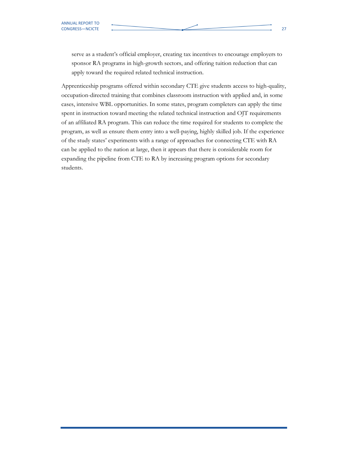serve as a student's official employer, creating tax incentives to encourage employers to sponsor RA programs in high-growth sectors, and offering tuition reduction that can apply toward the required related technical instruction.

Apprenticeship programs offered within secondary CTE give students access to high-quality, occupation-directed training that combines classroom instruction with applied and, in some cases, intensive WBL opportunities. In some states, program completers can apply the time spent in instruction toward meeting the related technical instruction and OJT requirements of an affiliated RA program. This can reduce the time required for students to complete the program, as well as ensure them entry into a well-paying, highly skilled job. If the experience of the study states' experiments with a range of approaches for connecting CTE with RA can be applied to the nation at large, then it appears that there is considerable room for expanding the pipeline from CTE to RA by increasing program options for secondary students.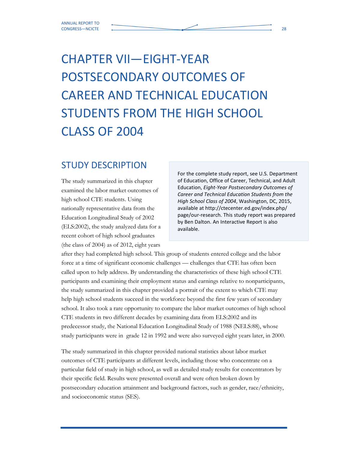# CHAPTER VII—EIGHT-YEAR POSTSECONDARY OUTCOMES OF CAREER AND TECHNICAL EDUCATION STUDENTS FROM THE HIGH SCHOOL CLASS OF 2004

### STUDY DESCRIPTION

The study summarized in this chapter examined the labor market outcomes of high school CTE students. Using nationally representative data from the Education Longitudinal Study of 2002 (ELS:2002), the study analyzed data for a recent cohort of high school graduates (the class of 2004) as of 2012, eight years

For the complete study report, see U.S. Department of Education, Office of Career, Technical, and Adult Education, Eight-Year Postsecondary Outcomes of Career and Technical Education Students from the High School Class of 2004, Washington, DC, 2015, available at http://ctecenter.ed.gov/index.php/ page/our-research. This study report was prepared by Ben Dalton. An Interactive Report is also available.

after they had completed high school. This group of students entered college and the labor force at a time of significant economic challenges — challenges that CTE has often been called upon to help address. By understanding the characteristics of these high school CTE participants and examining their employment status and earnings relative to nonparticipants, the study summarized in this chapter provided a portrait of the extent to which CTE may help high school students succeed in the workforce beyond the first few years of secondary school. It also took a rare opportunity to compare the labor market outcomes of high school CTE students in two different decades by examining data from ELS:2002 and its predecessor study, the National Education Longitudinal Study of 1988 (NELS:88), whose study participants were in grade 12 in 1992 and were also surveyed eight years later, in 2000.

The study summarized in this chapter provided national statistics about labor market outcomes of CTE participants at different levels, including those who concentrate on a particular field of study in high school, as well as detailed study results for concentrators by their specific field. Results were presented overall and were often broken down by postsecondary education attainment and background factors, such as gender, race/ethnicity, and socioeconomic status (SES).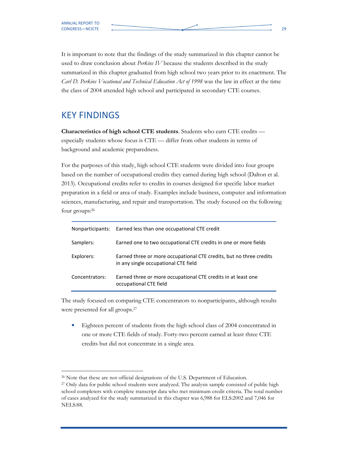It is important to note that the findings of the study summarized in this chapter cannot be used to draw conclusion about *Perkins IV* because the students described in the study summarized in this chapter graduated from high school two years prior to its enactment. The Carl D. Perkins Vocational and Technical Education Act of 1998 was the law in effect at the time the class of 2004 attended high school and participated in secondary CTE courses.

### KEY FINDINGS

Characteristics of high school CTE students. Students who earn CTE credits especially students whose focus is CTE — differ from other students in terms of background and academic preparedness.

For the purposes of this study, high school CTE students were divided into four groups based on the number of occupational credits they earned during high school (Dalton et al. 2013). Occupational credits refer to credits in courses designed for specific labor market preparation in a field or area of study. Examples include business, computer and information sciences, manufacturing, and repair and transportation. The study focused on the following four groups:<sup>26</sup>

| Nonparticipants: | Earned less than one occupational CTE credit                                                                |
|------------------|-------------------------------------------------------------------------------------------------------------|
| Samplers:        | Earned one to two occupational CTE credits in one or more fields                                            |
| Explorers:       | Earned three or more occupational CTE credits, but no three credits<br>in any single occupational CTE field |
| Concentrators:   | Earned three or more occupational CTE credits in at least one<br>occupational CTE field                     |

The study focused on comparing CTE concentrators to nonparticipants, although results were presented for all groups.<sup>27</sup>

• Eighteen percent of students from the high school class of 2004 concentrated in one or more CTE fields of study. Forty-two percent earned at least three CTE credits but did not concentrate in a single area.

 <sup>26</sup> Note that these are not official designations of the U.S. Department of Education.

<sup>&</sup>lt;sup>27</sup> Only data for public school students were analyzed. The analysis sample consisted of public high school completers with complete transcript data who met minimum credit criteria. The total number of cases analyzed for the study summarized in this chapter was 6,988 for ELS:2002 and 7,046 for NELS:88.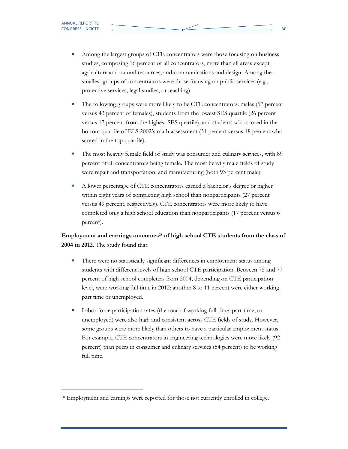-

- Among the largest groups of CTE concentrators were those focusing on business studies, composing 16 percent of all concentrators, more than all areas except agriculture and natural resources, and communications and design. Among the smallest groups of concentrators were those focusing on public services (e.g., protective services, legal studies, or teaching).
- The following groups were more likely to be CTE concentrators: males (57 percent versus 43 percent of females), students from the lowest SES quartile (26 percent versus 17 percent from the highest SES quartile), and students who scored in the bottom quartile of ELS:2002's math assessment (31 percent versus 18 percent who scored in the top quartile).
- The most heavily female field of study was consumer and culinary services, with 89 percent of all concentrators being female. The most heavily male fields of study were repair and transportation, and manufacturing (both 93 percent male).
- A lower percentage of CTE concentrators earned a bachelor's degree or higher within eight years of completing high school than nonparticipants (27 percent versus 49 percent, respectively). CTE concentrators were more likely to have completed only a high school education than nonparticipants (17 percent versus 6 percent).

Employment and earnings outcomes<sup>28</sup> of high school CTE students from the class of 2004 in 2012. The study found that:

- There were no statistically significant differences in employment status among students with different levels of high school CTE participation. Between 75 and 77 percent of high school completers from 2004, depending on CTE participation level, were working full time in 2012; another 8 to 11 percent were either working part time or unemployed.
- Labor force participation rates (the total of working full-time, part-time, or unemployed) were also high and consistent across CTE fields of study. However, some groups were more likely than others to have a particular employment status. For example, CTE concentrators in engineering technologies were more likely (92 percent) than peers in consumer and culinary services (54 percent) to be working full time.

<sup>28</sup> Employment and earnings were reported for those not currently enrolled in college.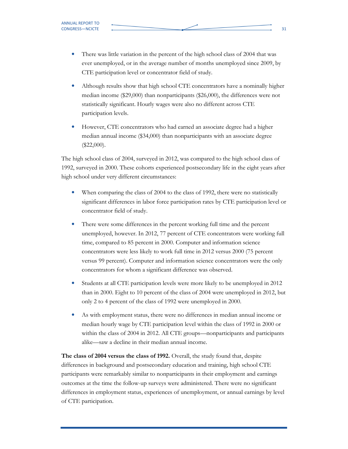- There was little variation in the percent of the high school class of 2004 that was ever unemployed, or in the average number of months unemployed since 2009, by CTE participation level or concentrator field of study.
- Although results show that high school CTE concentrators have a nominally higher median income (\$29,000) than nonparticipants (\$26,000), the differences were not statistically significant. Hourly wages were also no different across CTE participation levels.
- However, CTE concentrators who had earned an associate degree had a higher median annual income (\$34,000) than nonparticipants with an associate degree  $(\$22,000)$ .

The high school class of 2004, surveyed in 2012, was compared to the high school class of 1992, surveyed in 2000. These cohorts experienced postsecondary life in the eight years after high school under very different circumstances:

- When comparing the class of 2004 to the class of 1992, there were no statistically significant differences in labor force participation rates by CTE participation level or concentrator field of study.
- There were some differences in the percent working full time and the percent unemployed, however. In 2012, 77 percent of CTE concentrators were working full time, compared to 85 percent in 2000. Computer and information science concentrators were less likely to work full time in 2012 versus 2000 (75 percent versus 99 percent). Computer and information science concentrators were the only concentrators for whom a significant difference was observed.
- Students at all CTE participation levels were more likely to be unemployed in 2012 than in 2000. Eight to 10 percent of the class of 2004 were unemployed in 2012, but only 2 to 4 percent of the class of 1992 were unemployed in 2000.
- As with employment status, there were no differences in median annual income or median hourly wage by CTE participation level within the class of 1992 in 2000 or within the class of 2004 in 2012. All CTE groups—nonparticipants and participants alike—saw a decline in their median annual income.

The class of 2004 versus the class of 1992. Overall, the study found that, despite differences in background and postsecondary education and training, high school CTE participants were remarkably similar to nonparticipants in their employment and earnings outcomes at the time the follow-up surveys were administered. There were no significant differences in employment status, experiences of unemployment, or annual earnings by level of CTE participation.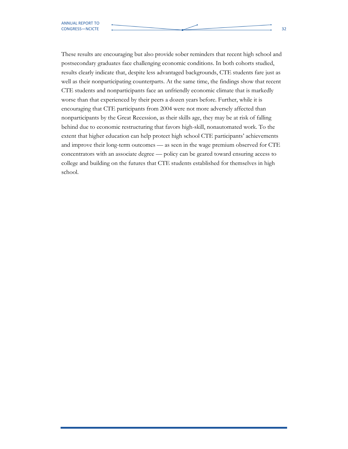These results are encouraging but also provide sober reminders that recent high school and postsecondary graduates face challenging economic conditions. In both cohorts studied, results clearly indicate that, despite less advantaged backgrounds, CTE students fare just as well as their nonparticipating counterparts. At the same time, the findings show that recent CTE students and nonparticipants face an unfriendly economic climate that is markedly worse than that experienced by their peers a dozen years before. Further, while it is encouraging that CTE participants from 2004 were not more adversely affected than nonparticipants by the Great Recession, as their skills age, they may be at risk of falling behind due to economic restructuring that favors high-skill, nonautomated work. To the extent that higher education can help protect high school CTE participants' achievements and improve their long-term outcomes — as seen in the wage premium observed for CTE

concentrators with an associate degree — policy can be geared toward ensuring access to college and building on the futures that CTE students established for themselves in high school.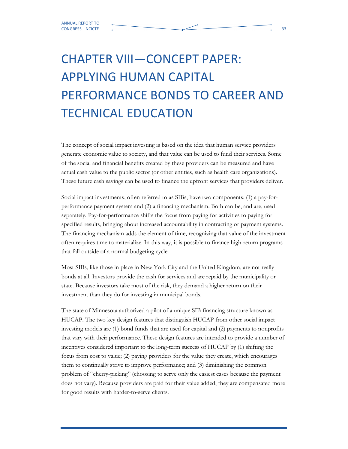# CHAPTER VIII—CONCEPT PAPER: APPLYING HUMAN CAPITAL PERFORMANCE BONDS TO CAREER AND TECHNICAL EDUCATION

The concept of social impact investing is based on the idea that human service providers generate economic value to society, and that value can be used to fund their services. Some of the social and financial benefits created by these providers can be measured and have actual cash value to the public sector (or other entities, such as health care organizations). These future cash savings can be used to finance the upfront services that providers deliver.

Social impact investments, often referred to as SIBs, have two components: (1) a pay-forperformance payment system and (2) a financing mechanism. Both can be, and are, used separately. Pay-for-performance shifts the focus from paying for activities to paying for specified results, bringing about increased accountability in contracting or payment systems. The financing mechanism adds the element of time, recognizing that value of the investment often requires time to materialize. In this way, it is possible to finance high-return programs that fall outside of a normal budgeting cycle.

Most SIBs, like those in place in New York City and the United Kingdom, are not really bonds at all. Investors provide the cash for services and are repaid by the municipality or state. Because investors take most of the risk, they demand a higher return on their investment than they do for investing in municipal bonds.

The state of Minnesota authorized a pilot of a unique SIB financing structure known as HUCAP. The two key design features that distinguish HUCAP from other social impact investing models are (1) bond funds that are used for capital and (2) payments to nonprofits that vary with their performance. These design features are intended to provide a number of incentives considered important to the long-term success of HUCAP by (1) shifting the focus from cost to value; (2) paying providers for the value they create, which encourages them to continually strive to improve performance; and (3) diminishing the common problem of "cherry-picking" (choosing to serve only the easiest cases because the payment does not vary). Because providers are paid for their value added, they are compensated more for good results with harder-to-serve clients.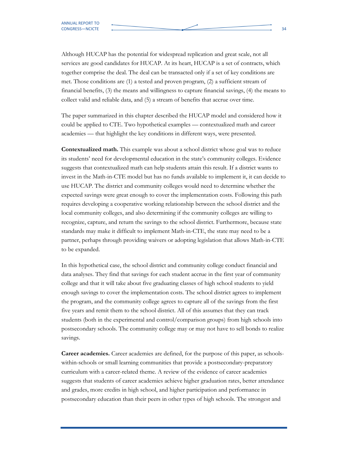Although HUCAP has the potential for widespread replication and great scale, not all services are good candidates for HUCAP. At its heart, HUCAP is a set of contracts, which together comprise the deal. The deal can be transacted only if a set of key conditions are met. Those conditions are (1) a tested and proven program, (2) a sufficient stream of financial benefits, (3) the means and willingness to capture financial savings, (4) the means to collect valid and reliable data, and (5) a stream of benefits that accrue over time.

The paper summarized in this chapter described the HUCAP model and considered how it could be applied to CTE. Two hypothetical examples — contextualized math and career academies — that highlight the key conditions in different ways, were presented.

Contextualized math. This example was about a school district whose goal was to reduce its students' need for developmental education in the state's community colleges. Evidence suggests that contextualized math can help students attain this result. If a district wants to invest in the Math-in-CTE model but has no funds available to implement it, it can decide to use HUCAP. The district and community colleges would need to determine whether the expected savings were great enough to cover the implementation costs. Following this path requires developing a cooperative working relationship between the school district and the local community colleges, and also determining if the community colleges are willing to recognize, capture, and return the savings to the school district. Furthermore, because state standards may make it difficult to implement Math-in-CTE, the state may need to be a partner, perhaps through providing waivers or adopting legislation that allows Math-in-CTE to be expanded.

In this hypothetical case, the school district and community college conduct financial and data analyses. They find that savings for each student accrue in the first year of community college and that it will take about five graduating classes of high school students to yield enough savings to cover the implementation costs. The school district agrees to implement the program, and the community college agrees to capture all of the savings from the first five years and remit them to the school district. All of this assumes that they can track students (both in the experimental and control/comparison groups) from high schools into postsecondary schools. The community college may or may not have to sell bonds to realize savings.

Career academies. Career academies are defined, for the purpose of this paper, as schoolswithin-schools or small learning communities that provide a postsecondary-preparatory curriculum with a career-related theme. A review of the evidence of career academies suggests that students of career academies achieve higher graduation rates, better attendance and grades, more credits in high school, and higher participation and performance in postsecondary education than their peers in other types of high schools. The strongest and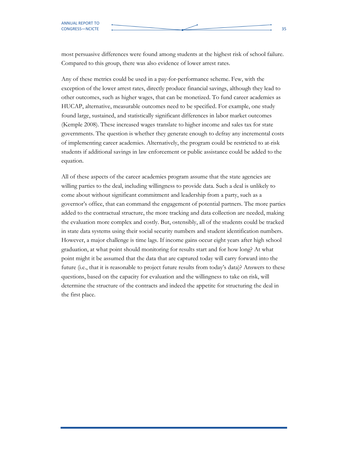most persuasive differences were found among students at the highest risk of school failure. Compared to this group, there was also evidence of lower arrest rates.

Any of these metrics could be used in a pay-for-performance scheme. Few, with the exception of the lower arrest rates, directly produce financial savings, although they lead to other outcomes, such as higher wages, that can be monetized. To fund career academies as HUCAP, alternative, measurable outcomes need to be specified. For example, one study found large, sustained, and statistically significant differences in labor market outcomes (Kemple 2008). These increased wages translate to higher income and sales tax for state governments. The question is whether they generate enough to defray any incremental costs of implementing career academies. Alternatively, the program could be restricted to at-risk students if additional savings in law enforcement or public assistance could be added to the equation.

All of these aspects of the career academies program assume that the state agencies are willing parties to the deal, including willingness to provide data. Such a deal is unlikely to come about without significant commitment and leadership from a party, such as a governor's office, that can command the engagement of potential partners. The more parties added to the contractual structure, the more tracking and data collection are needed, making the evaluation more complex and costly. But, ostensibly, all of the students could be tracked in state data systems using their social security numbers and student identification numbers. However, a major challenge is time lags. If income gains occur eight years after high school graduation, at what point should monitoring for results start and for how long? At what point might it be assumed that the data that are captured today will carry forward into the future (i.e., that it is reasonable to project future results from today's data)? Answers to these questions, based on the capacity for evaluation and the willingness to take on risk, will determine the structure of the contracts and indeed the appetite for structuring the deal in the first place.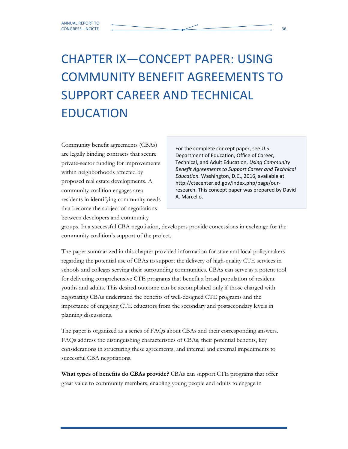## CHAPTER IX—CONCEPT PAPER: USING COMMUNITY BENEFIT AGREEMENTS TO SUPPORT CAREER AND TECHNICAL EDUCATION

Community benefit agreements (CBAs) are legally binding contracts that secure private-sector funding for improvements within neighborhoods affected by proposed real estate developments. A community coalition engages area residents in identifying community needs that become the subject of negotiations between developers and community

For the complete concept paper, see U.S. Department of Education, Office of Career, Technical, and Adult Education, Using Community Benefit Agreements to Support Career and Technical Education. Washington, D.C., 2016, available at http://ctecenter.ed.gov/index.php/page/ourresearch. This concept paper was prepared by David A. Marcello.

groups. In a successful CBA negotiation, developers provide concessions in exchange for the community coalition's support of the project.

The paper summarized in this chapter provided information for state and local policymakers regarding the potential use of CBAs to support the delivery of high-quality CTE services in schools and colleges serving their surrounding communities. CBAs can serve as a potent tool for delivering comprehensive CTE programs that benefit a broad population of resident youths and adults. This desired outcome can be accomplished only if those charged with negotiating CBAs understand the benefits of well-designed CTE programs and the importance of engaging CTE educators from the secondary and postsecondary levels in planning discussions.

The paper is organized as a series of FAQs about CBAs and their corresponding answers. FAQs address the distinguishing characteristics of CBAs, their potential benefits, key considerations in structuring these agreements, and internal and external impediments to successful CBA negotiations.

What types of benefits do CBAs provide? CBAs can support CTE programs that offer great value to community members, enabling young people and adults to engage in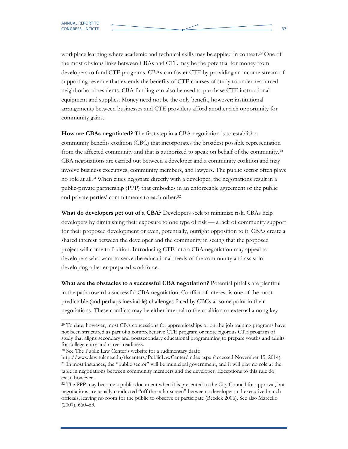workplace learning where academic and technical skills may be applied in context.29 One of the most obvious links between CBAs and CTE may be the potential for money from developers to fund CTE programs. CBAs can foster CTE by providing an income stream of supporting revenue that extends the benefits of CTE courses of study to under-resourced neighborhood residents. CBA funding can also be used to purchase CTE instructional equipment and supplies. Money need not be the only benefit, however; institutional arrangements between businesses and CTE providers afford another rich opportunity for community gains.

How are CBAs negotiated? The first step in a CBA negotiation is to establish a community benefits coalition (CBC) that incorporates the broadest possible representation from the affected community and that is authorized to speak on behalf of the community.<sup>30</sup> CBA negotiations are carried out between a developer and a community coalition and may involve business executives, community members, and lawyers. The public sector often plays no role at all.<sup>31</sup> When cities negotiate directly with a developer, the negotiations result in a public-private partnership (PPP) that embodies in an enforceable agreement of the public and private parties' commitments to each other.<sup>32</sup>

What do developers get out of a CBA? Developers seek to minimize risk. CBAs help developers by diminishing their exposure to one type of risk — a lack of community support for their proposed development or even, potentially, outright opposition to it. CBAs create a shared interest between the developer and the community in seeing that the proposed project will come to fruition. Introducing CTE into a CBA negotiation may appeal to developers who want to serve the educational needs of the community and assist in developing a better-prepared workforce.

What are the obstacles to a successful CBA negotiation? Potential pitfalls are plentiful in the path toward a successful CBA negotiation. Conflict of interest is one of the most predictable (and perhaps inevitable) challenges faced by CBCs at some point in their negotiations. These conflicts may be either internal to the coalition or external among key

<sup>&</sup>lt;sup>29</sup> To date, however, most CBA concessions for apprenticeships or on-the-job training programs have not been structured as part of a comprehensive CTE program or more rigorous CTE program of study that aligns secondary and postsecondary educational programming to prepare youths and adults for college entry and career readiness.

<sup>30</sup> See The Public Law Center's website for a rudimentary draft:

http://www.law.tulane.edu/tlscenters/PublicLawCenter/index.aspx (accessed November 15, 2014). <sup>31</sup> In most instances, the "public sector" will be municipal government, and it will play no role at the table in negotiations between community members and the developer. Exceptions to this rule do exist, however.

<sup>&</sup>lt;sup>32</sup> The PPP may become a public document when it is presented to the City Council for approval, but negotiations are usually conducted "off the radar screen" between a developer and executive branch officials, leaving no room for the public to observe or participate (Bezdek 2006). See also Marcello (2007), 660–63.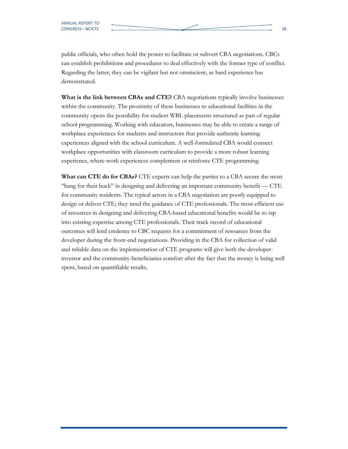public officials, who often hold the power to facilitate or subvert CBA negotiations. CBCs can establish prohibitions and procedures to deal effectively with the former type of conflict. Regarding the latter, they can be vigilant but not omniscient, as hard experience has demonstrated.

What is the link between CBAs and CTE? CBA negotiations typically involve businesses within the community. The proximity of these businesses to educational facilities in the community opens the possibility for student WBL placements structured as part of regular school programming. Working with educators, businesses may be able to create a range of workplace experiences for students and instructors that provide authentic learning experiences aligned with the school curriculum. A well-formulated CBA would connect workplace opportunities with classroom curriculum to provide a more robust learning experience, where work experiences complement or reinforce CTE programming.

What can CTE do for CBAs? CTE experts can help the parties to a CBA secure the most "bang for their buck" in designing and delivering an important community benefit — CTE for community residents. The typical actors in a CBA negotiation are poorly equipped to design or deliver CTE; they need the guidance of CTE professionals. The most efficient use of resources in designing and delivering CBA-based educational benefits would be to tap into existing expertise among CTE professionals. Their track record of educational outcomes will lend credence to CBC requests for a commitment of resources from the developer during the front-end negotiations. Providing in the CBA for collection of valid and reliable data on the implementation of CTE programs will give both the developerinvestor and the community-beneficiaries comfort after the fact that the money is being well spent, based on quantifiable results.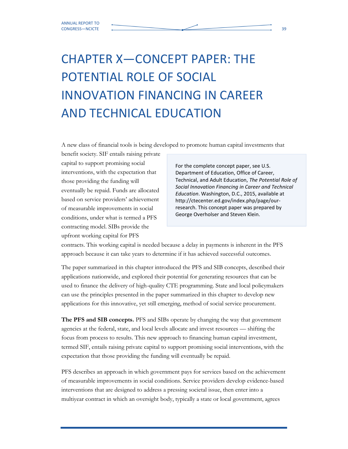# CHAPTER X—CONCEPT PAPER: THE POTENTIAL ROLE OF SOCIAL INNOVATION FINANCING IN CAREER AND TECHNICAL EDUCATION

A new class of financial tools is being developed to promote human capital investments that

benefit society. SIF entails raising private capital to support promising social interventions, with the expectation that those providing the funding will eventually be repaid. Funds are allocated based on service providers' achievement of measurable improvements in social conditions, under what is termed a PFS contracting model. SIBs provide the upfront working capital for PFS

For the complete concept paper, see U.S. Department of Education, Office of Career, Technical, and Adult Education, The Potential Role of Social Innovation Financing in Career and Technical Education. Washington, D.C., 2015, available at http://ctecenter.ed.gov/index.php/page/ourresearch. This concept paper was prepared by George Overholser and Steven Klein.

contracts. This working capital is needed because a delay in payments is inherent in the PFS approach because it can take years to determine if it has achieved successful outcomes.

The paper summarized in this chapter introduced the PFS and SIB concepts, described their applications nationwide, and explored their potential for generating resources that can be used to finance the delivery of high-quality CTE programming. State and local policymakers can use the principles presented in the paper summarized in this chapter to develop new applications for this innovative, yet still emerging, method of social service procurement.

The PFS and SIB concepts. PFS and SIBs operate by changing the way that government agencies at the federal, state, and local levels allocate and invest resources — shifting the focus from process to results. This new approach to financing human capital investment, termed SIF, entails raising private capital to support promising social interventions, with the expectation that those providing the funding will eventually be repaid.

PFS describes an approach in which government pays for services based on the achievement of measurable improvements in social conditions. Service providers develop evidence-based interventions that are designed to address a pressing societal issue, then enter into a multiyear contract in which an oversight body, typically a state or local government, agrees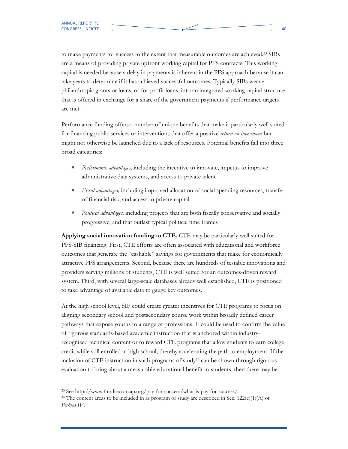to make payments for success to the extent that measurable outcomes are achieved.33 SIBs are a means of providing private upfront working capital for PFS contracts. This working capital is needed because a delay in payments is inherent in the PFS approach because it can take years to determine if it has achieved successful outcomes. Typically SIBs weave philanthropic grants or loans, or for-profit loans, into an integrated working capital structure that is offered in exchange for a share of the government payments if performance targets are met.

Performance funding offers a number of unique benefits that make it particularly well suited for financing public services or interventions that offer a positive return on investment but might not otherwise be launched due to a lack of resources. Potential benefits fall into three broad categories:

- Performance advantages, including the incentive to innovate, impetus to improve administrative data systems, and access to private talent
- Fiscal advantages, including improved allocation of social spending resources, transfer of financial risk, and access to private capital
- Political advantages, including projects that are both fiscally conservative and socially progressive, and that outlast typical political time frames

Applying social innovation funding to CTE. CTE may be particularly well suited for PFS-SIB financing. First, CTE efforts are often associated with educational and workforce outcomes that generate the "cashable" savings for governments that make for economically attractive PFS arrangements. Second, because there are hundreds of testable innovations and providers serving millions of students, CTE is well suited for an outcomes-driven reward system. Third, with several large-scale databases already well established, CTE is positioned to take advantage of available data to gauge key outcomes.

At the high school level, SIF could create greater incentives for CTE programs to focus on aligning secondary school and postsecondary course work within broadly defined career pathways that expose youths to a range of professions. It could be used to confirm the value of rigorous standards-based academic instruction that is anchored within industryrecognized technical content or to reward CTE programs that allow students to earn college credit while still enrolled in high school, thereby accelerating the path to employment. If the inclusion of CTE instruction in such programs of study34 can be shown through rigorous evaluation to bring about a measurable educational benefit to students, then there may be

 <sup>33</sup> See http://www.thirdsectorcap.org/pay-for-success/what-is-pay-for-success/.

<sup>&</sup>lt;sup>34</sup> The content areas to be included in as program of study are described in Sec.  $122(c)(1)(A)$  of Perkins IV.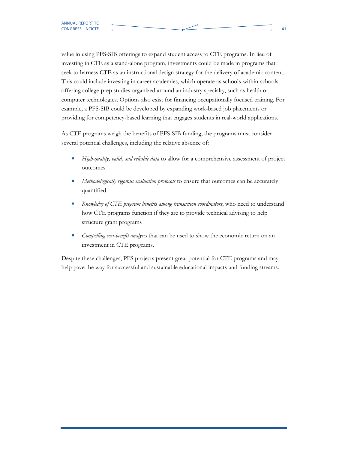value in using PFS-SIB offerings to expand student access to CTE programs. In lieu of investing in CTE as a stand-alone program, investments could be made in programs that seek to harness CTE as an instructional design strategy for the delivery of academic content. This could include investing in career academies, which operate as schools-within-schools offering college-prep studies organized around an industry specialty, such as health or computer technologies. Options also exist for financing occupationally focused training. For example, a PFS-SIB could be developed by expanding work-based job placements or providing for competency-based learning that engages students in real-world applications.

As CTE programs weigh the benefits of PFS-SIB funding, the programs must consider several potential challenges, including the relative absence of:

- High-quality, valid, and reliable data to allow for a comprehensive assessment of project outcomes
- Methodologically rigorous evaluation protocols to ensure that outcomes can be accurately quantified
- Knowledge of CTE program benefits among transaction coordinators, who need to understand how CTE programs function if they are to provide technical advising to help structure grant programs
- *Compelling cost-benefit analyses* that can be used to show the economic return on an investment in CTE programs.

Despite these challenges, PFS projects present great potential for CTE programs and may help pave the way for successful and sustainable educational impacts and funding streams.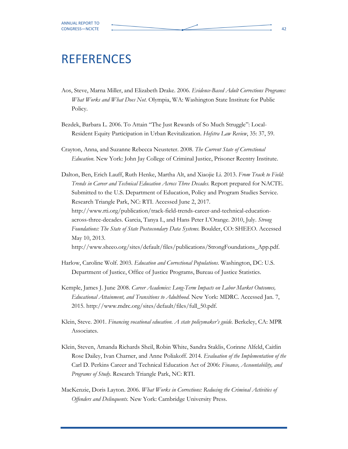### REFERENCES

- Aos, Steve, Marna Miller, and Elizabeth Drake. 2006. Evidence-Based Adult Corrections Programs: What Works and What Does Not. Olympia, WA: Washington State Institute for Public Policy.
- Bezdek, Barbara L. 2006. To Attain "The Just Rewards of So Much Struggle": Local-Resident Equity Participation in Urban Revitalization. Hofstra Law Review, 35: 37, 59.
- Crayton, Anna, and Suzanne Rebecca Neusteter. 2008. The Current State of Correctional Education. New York: John Jay College of Criminal Justice, Prisoner Reentry Institute.

Dalton, Ben, Erich Lauff, Ruth Henke, Martha Alt, and Xiaojie Li. 2013. From Track to Field: Trends in Career and Technical Education Across Three Decades. Report prepared for NACTE. Submitted to the U.S. Department of Education, Policy and Program Studies Service. Research Triangle Park, NC: RTI. Accessed June 2, 2017. http://www.rti.org/publication/track-field-trends-career-and-technical-educationacross-three-decades. Garcia, Tanya I., and Hans Peter L'Orange. 2010, July. Strong Foundations: The State of State Postsecondary Data Systems. Boulder, CO: SHEEO. Accessed May 10, 2013. http://www.sheeo.org/sites/default/files/publications/StrongFoundations\_App.pdf.

- Harlow, Caroline Wolf. 2003. Education and Correctional Populations. Washington, DC: U.S. Department of Justice, Office of Justice Programs, Bureau of Justice Statistics.
- Kemple, James J. June 2008. Career Academies: Long-Term Impacts on Labor Market Outcomes, Educational Attainment, and Transitions to Adulthood. New York: MDRC. Accessed Jan. 7, 2015. http://www.mdrc.org/sites/default/files/full\_50.pdf.
- Klein, Steve. 2001. Financing vocational education. A state policymaker's guide. Berkeley, CA: MPR Associates.
- Klein, Steven, Amanda Richards Sheil, Robin White, Sandra Staklis, Corinne Alfeld, Caitlin Rose Dailey, Ivan Charner, and Anne Poliakoff. 2014. Evaluation of the Implementation of the Carl D. Perkins Career and Technical Education Act of 2006: Finance, Accountability, and Programs of Study. Research Triangle Park, NC: RTI.
- MacKenzie, Doris Layton. 2006. What Works in Corrections: Reducing the Criminal Activities of Offenders and Delinquents. New York: Cambridge University Press.